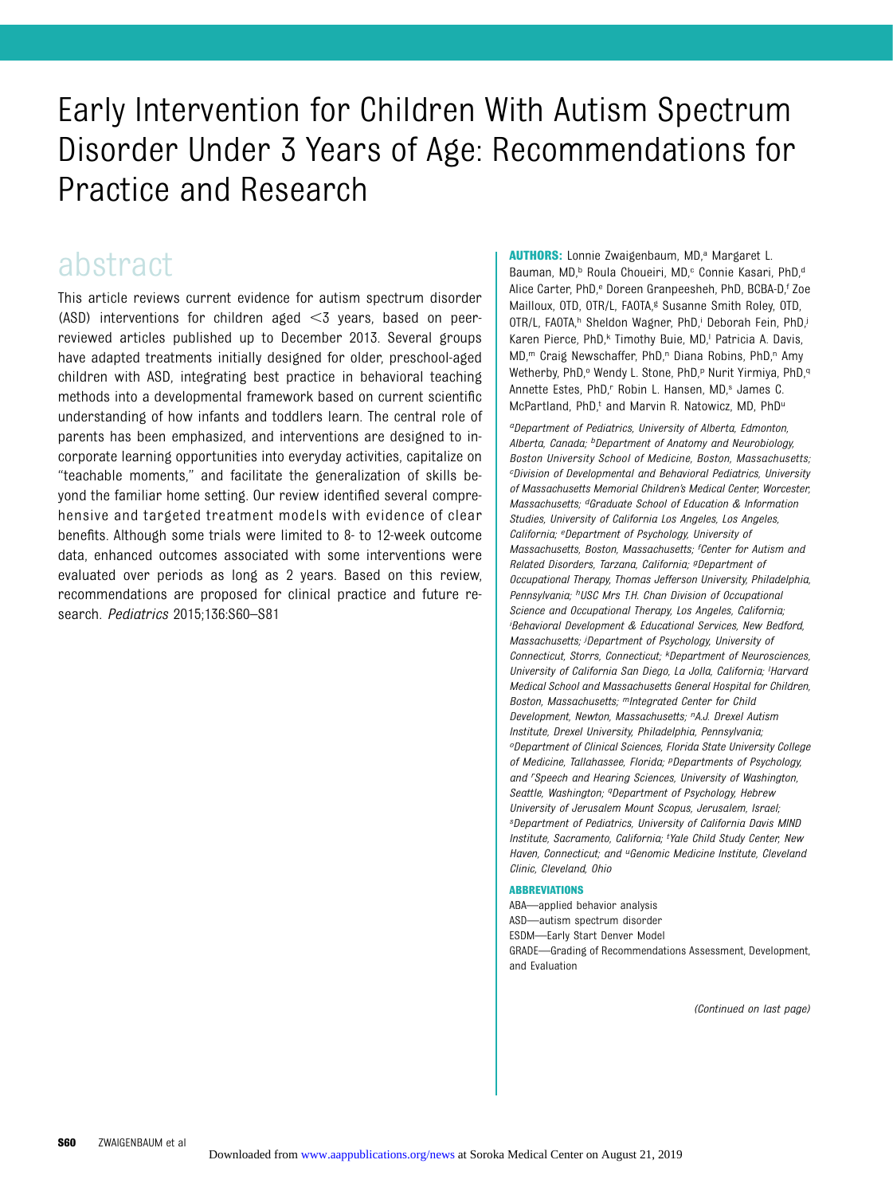## Early Intervention for Children With Autism Spectrum Disorder Under 3 Years of Age: Recommendations for Practice and Research

### abstract

This article reviews current evidence for autism spectrum disorder (ASD) interventions for children aged  $<$ 3 years, based on peerreviewed articles published up to December 2013. Several groups have adapted treatments initially designed for older, preschool-aged children with ASD, integrating best practice in behavioral teaching methods into a developmental framework based on current scientific understanding of how infants and toddlers learn. The central role of parents has been emphasized, and interventions are designed to incorporate learning opportunities into everyday activities, capitalize on "teachable moments," and facilitate the generalization of skills beyond the familiar home setting. Our review identified several comprehensive and targeted treatment models with evidence of clear benefits. Although some trials were limited to 8- to 12-week outcome data, enhanced outcomes associated with some interventions were evaluated over periods as long as 2 years. Based on this review, recommendations are proposed for clinical practice and future research. Pediatrics 2015;136:S60–S81

AUTHORS: Lonnie Zwaigenbaum, MD,<sup>a</sup> Margaret L. Bauman, MD,<sup>b</sup> Roula Choueiri, MD,<sup>c</sup> Connie Kasari, PhD,<sup>d</sup> Alice Carter, PhD,<sup>e</sup> Doreen Granpeesheh, PhD, BCBA-D,<sup>f</sup> Zoe Mailloux, OTD, OTR/L, FAOTA,<sup>g</sup> Susanne Smith Roley, OTD, OTR/L, FAOTA,<sup>h</sup> Sheldon Wagner, PhD,<sup>i</sup> Deborah Fein, PhD,<sup>j</sup> Karen Pierce, PhD,<sup>k</sup> Timothy Buie, MD,<sup>1</sup> Patricia A. Davis, MD,<sup>m</sup> Craig Newschaffer, PhD,<sup>n</sup> Diana Robins, PhD,<sup>n</sup> Amy Wetherby, PhD,<sup>o</sup> Wendy L. Stone, PhD,<sup>p</sup> Nurit Yirmiya, PhD,<sup>q</sup> Annette Estes, PhD,<sup>r</sup> Robin L. Hansen, MD,<sup>s</sup> James C. McPartland, PhD,t and Marvin R. Natowicz, MD, PhDu

aDepartment of Pediatrics, University of Alberta, Edmonton, Alberta, Canada; <sup>b</sup>Department of Anatomy and Neurobiology, Boston University School of Medicine, Boston, Massachusetts; cDivision of Developmental and Behavioral Pediatrics, University of Massachusetts Memorial Children's Medical Center, Worcester, Massachusetts; dGraduate School of Education & Information Studies, University of California Los Angeles, Los Angeles, California; eDepartment of Psychology, University of Massachusetts, Boston, Massachusetts; <sup>f</sup>Center for Autism and Related Disorders, Tarzana, California; gDepartment of Occupational Therapy, Thomas Jefferson University, Philadelphia, Pennsylvania; <sup>h</sup>USC Mrs T.H. Chan Division of Occupational Science and Occupational Therapy, Los Angeles, California; i Behavioral Development & Educational Services, New Bedford, Massachusetts; iDepartment of Psychology, University of Connecticut, Storrs, Connecticut; kDepartment of Neurosciences, University of California San Diego, La Jolla, California; <sup>I</sup>Harvard Medical School and Massachusetts General Hospital for Children, Boston, Massachusetts; mIntegrated Center for Child Development, Newton, Massachusetts; <sup>n</sup>A.J. Drexel Autism Institute, Drexel University, Philadelphia, Pennsylvania; oDepartment of Clinical Sciences, Florida State University College of Medicine, Tallahassee, Florida; <sup>p</sup>Departments of Psychology, and <sup>r</sup> Speech and Hearing Sciences, University of Washington, Seattle, Washington; <sup>q</sup>Department of Psychology, Hebrew University of Jerusalem Mount Scopus, Jerusalem, Israel; sDepartment of Pediatrics, University of California Davis MIND Institute, Sacramento, California; <sup>t</sup>Yale Child Study Center, New Haven, Connecticut; and <sup>u</sup>Genomic Medicine Institute, Cleveland Clinic, Cleveland, Ohio

#### ABBREVIATIONS

ABA—applied behavior analysis ASD—autism spectrum disorder ESDM—Early Start Denver Model GRADE—Grading of Recommendations Assessment, Development, and Evaluation

(Continued on last page)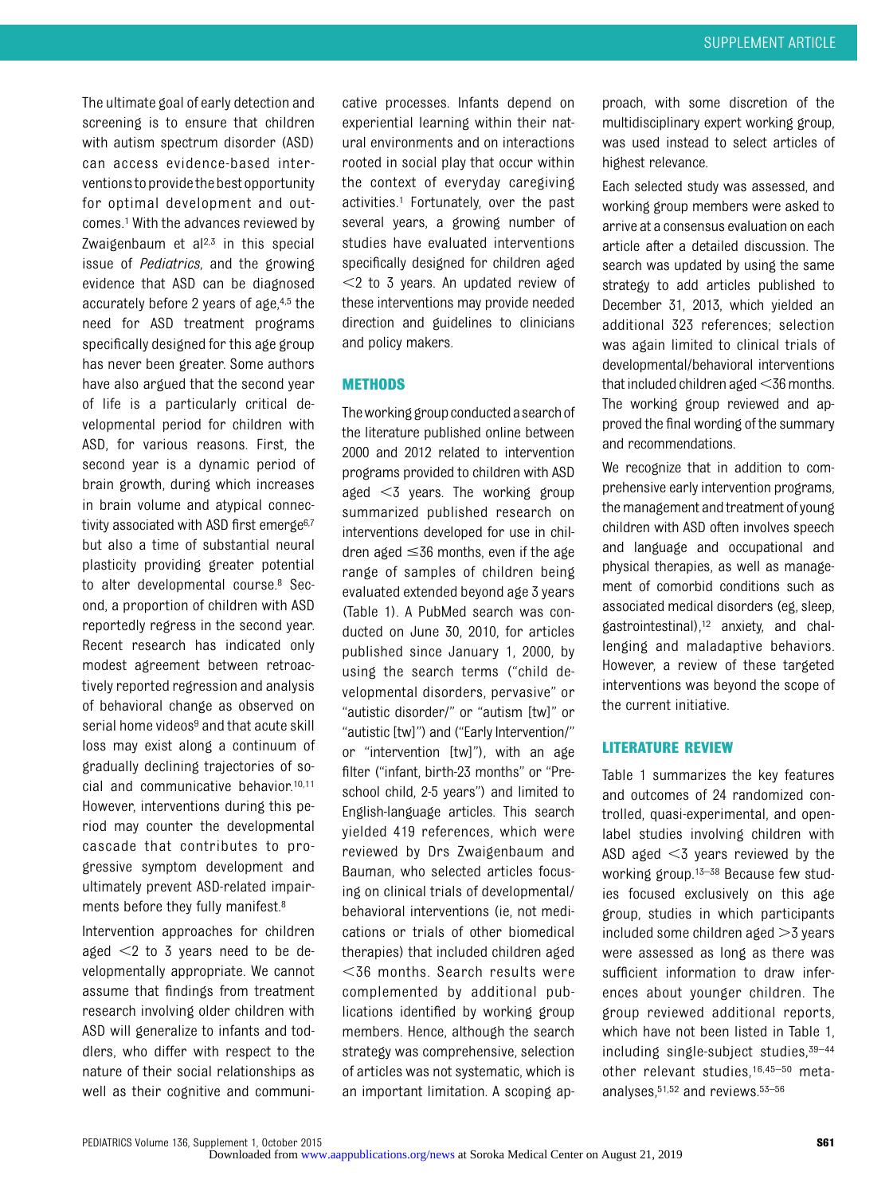The ultimate goal of early detection and screening is to ensure that children with autism spectrum disorder (ASD) can access evidence-based interventionstoprovidethe best opportunity for optimal development and outcomes.1 With the advances reviewed by Zwaigenbaum et al $2,3$  in this special issue of Pediatrics, and the growing evidence that ASD can be diagnosed accurately before 2 years of age,4,5 the need for ASD treatment programs specifically designed for this age group has never been greater. Some authors have also argued that the second year of life is a particularly critical developmental period for children with ASD, for various reasons. First, the second year is a dynamic period of brain growth, during which increases in brain volume and atypical connectivity associated with ASD first emerge<sup>6,7</sup> but also a time of substantial neural plasticity providing greater potential to alter developmental course.8 Second, a proportion of children with ASD reportedly regress in the second year. Recent research has indicated only modest agreement between retroactively reported regression and analysis of behavioral change as observed on serial home videos<sup>9</sup> and that acute skill loss may exist along a continuum of gradually declining trajectories of social and communicative behavior.10,11 However, interventions during this period may counter the developmental cascade that contributes to progressive symptom development and ultimately prevent ASD-related impairments before they fully manifest.8

Intervention approaches for children aged  $\leq$  2 to 3 years need to be developmentally appropriate. We cannot assume that findings from treatment research involving older children with ASD will generalize to infants and toddlers, who differ with respect to the nature of their social relationships as well as their cognitive and communi-

cative processes. Infants depend on experiential learning within their natural environments and on interactions rooted in social play that occur within the context of everyday caregiving activities.1 Fortunately, over the past several years, a growing number of studies have evaluated interventions specifically designed for children aged  $<$ 2 to 3 years. An updated review of these interventions may provide needed direction and guidelines to clinicians and policy makers.

#### METHODS

The working group conducted a search of the literature published online between 2000 and 2012 related to intervention programs provided to children with ASD aged  $<$ 3 years. The working group summarized published research on interventions developed for use in children aged  $\leq$ 36 months, even if the age range of samples of children being evaluated extended beyond age 3 years (Table 1). A PubMed search was conducted on June 30, 2010, for articles published since January 1, 2000, by using the search terms ("child developmental disorders, pervasive" or "autistic disorder/" or "autism [tw]" or "autistic [tw]") and ("Early Intervention/" or "intervention [tw]"), with an age filter ("infant, birth-23 months" or "Preschool child, 2-5 years") and limited to English-language articles. This search yielded 419 references, which were reviewed by Drs Zwaigenbaum and Bauman, who selected articles focusing on clinical trials of developmental/ behavioral interventions (ie, not medications or trials of other biomedical therapies) that included children aged  $<$ 36 months. Search results were complemented by additional publications identified by working group members. Hence, although the search strategy was comprehensive, selection of articles was not systematic, which is an important limitation. A scoping ap-

proach, with some discretion of the multidisciplinary expert working group, was used instead to select articles of highest relevance.

Each selected study was assessed, and working group members were asked to arrive at a consensus evaluation on each article after a detailed discussion. The search was updated by using the same strategy to add articles published to December 31, 2013, which yielded an additional 323 references; selection was again limited to clinical trials of developmental/behavioral interventions that included children aged $<$ 36 months. The working group reviewed and approved the final wording of the summary and recommendations.

We recognize that in addition to comprehensive early intervention programs, the management and treatment of young children with ASD often involves speech and language and occupational and physical therapies, as well as management of comorbid conditions such as associated medical disorders (eg, sleep, gastrointestinal),12 anxiety, and challenging and maladaptive behaviors. However, a review of these targeted interventions was beyond the scope of the current initiative.

#### LITERATURE REVIEW

Table 1 summarizes the key features and outcomes of 24 randomized controlled, quasi-experimental, and openlabel studies involving children with ASD aged  $<$ 3 years reviewed by the working group.13–<sup>38</sup> Because few studies focused exclusively on this age group, studies in which participants included some children aged  $>3$  years were assessed as long as there was sufficient information to draw inferences about younger children. The group reviewed additional reports, which have not been listed in Table 1, including single-subject studies,39–<sup>44</sup> other relevant studies,16,45–<sup>50</sup> metaanalyses,51,52 and reviews.53–<sup>56</sup>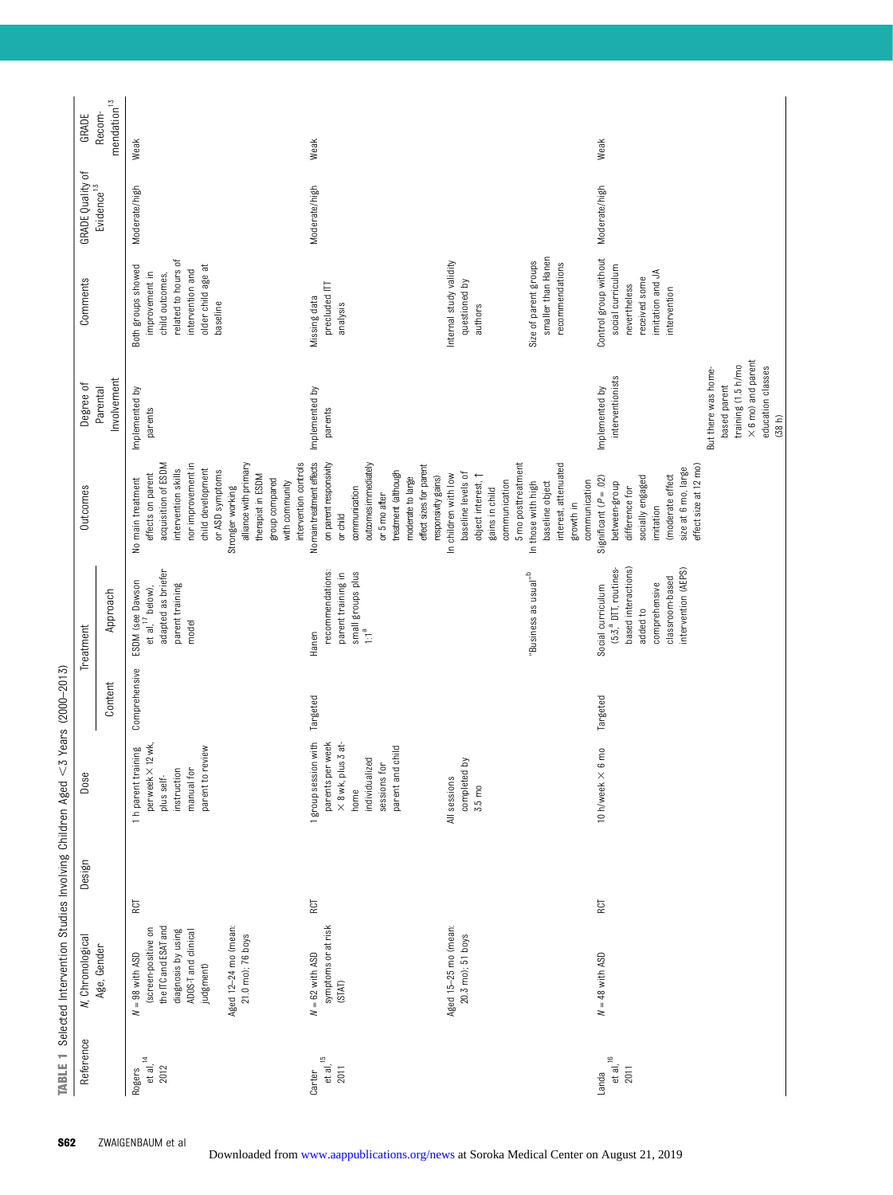| Reference                         | <b>N</b> , Chronological                                                                                                                                                | Design | Dose                                                                                                                               |               | Treatment                                                                                                                                            | Outcomes                                                                                                                                                                                                                                                                          | Degree of                                                                                                                                                   | Comments                                                                                                                             | <b>GRADE Quality of</b> | GRADE                   |
|-----------------------------------|-------------------------------------------------------------------------------------------------------------------------------------------------------------------------|--------|------------------------------------------------------------------------------------------------------------------------------------|---------------|------------------------------------------------------------------------------------------------------------------------------------------------------|-----------------------------------------------------------------------------------------------------------------------------------------------------------------------------------------------------------------------------------------------------------------------------------|-------------------------------------------------------------------------------------------------------------------------------------------------------------|--------------------------------------------------------------------------------------------------------------------------------------|-------------------------|-------------------------|
|                                   | Age, Gender                                                                                                                                                             |        |                                                                                                                                    | Content       | Approach                                                                                                                                             |                                                                                                                                                                                                                                                                                   | Involvement<br>Parental                                                                                                                                     |                                                                                                                                      | Evidence <sup>13</sup>  | $mendation13$<br>Recom- |
| et al, $^{14}$<br>2012<br>Rogers  | Aged 12-24 mo (mean:<br>the ITC and ESAT and<br>(screen-positive on<br>diagnosis by using<br>ADOS-T and clinical<br>21.0 mo); 76 boys<br>$N = 98$ with ASD<br>judgment) | RCT    | $\times$ 12 wk,<br>parent to review<br>1 h parent training<br>manual for<br>instruction<br>per week<br>plus self-                  | Comprehensive | adapted as briefer<br>ESDM (see Dawson<br>parent training<br>et al, $17$ below),<br>model                                                            | nor improvement in<br>intervention controls<br>acquisition of ESDM<br>alliance with primary<br>child development<br>intervention skills<br>or ASD symptoms<br>effects on parent<br>therapist in ESDM<br>No main treatment<br>group compared<br>with community<br>Stronger working | Implemented by<br>parents                                                                                                                                   | related to hours of<br>older child age at<br>Both groups showed<br>intervention and<br>improvement in<br>child outcomes,<br>baseline | Moderate/high           | Weak                    |
| et al, $^{15}$<br>2011<br>Carter  | symptoms or at risk<br>$N = 62$ with ASD<br>(STAT)                                                                                                                      | RCT    | 1 group session with<br>parents per week<br>$\times$ 8 wk, plus 3 at<br>parent and child<br>individualized<br>sessions for<br>home | Targeted      | recommendations:<br>small groups plus<br>parent training in<br>°⊤;<br>Hanen                                                                          | No main treatment effects<br>on parent responsivity<br>outcomes immediately<br>effect sizes for parent<br>treatment (although<br>responsivity gains)<br>moderate to large<br>communication<br>or 5 mo after<br>or child                                                           | Implemented by<br>parents                                                                                                                                   | precluded ITT<br>Missing data<br>analysis                                                                                            | Moderate/high           | Weak                    |
|                                   | Aged 15-25 mo (mean:<br>20.3 mo); 51 boys                                                                                                                               |        | completed by<br>All sessions<br>$3.5 \text{ m0}$                                                                                   |               | "Business as usual" <sup>b</sup>                                                                                                                     | interest, attenuated<br>5 mo posttreatment<br>baseline levels of<br>object interest, $\uparrow$<br>In children with low<br>communication<br>communication<br>baseline object<br>In those with high<br>gains in child<br>growth in                                                 |                                                                                                                                                             | smaller than Hanen<br>Internal study validity<br>Size of parent groups<br>recommendations<br>questioned by<br>authors                |                         |                         |
| $et$ al, $^{16}$<br>2011<br>Landa | $N = 48$ with ASD                                                                                                                                                       | RCT    | $10 \text{ h/week} \times 6 \text{ mo}$                                                                                            | Targeted      | based interactions)<br>(5:3, <sup>ª</sup> DTT, routines-<br>intervention (AEPS)<br>classroom-based<br>comprehensive<br>Social curriculum<br>added to | effect size at 12 mo)<br>size at 6 mo, large<br>(moderate effect<br>socially engaged<br>Significant $(P = .02)$<br>between-group<br>difference for<br>imitation                                                                                                                   | $\times$ 6 mo) and parent<br>training (1.5 h/mo<br>education classes<br>But there was home-<br>interventionists<br>based parent<br>Implemented by<br>(38 h) | Control group without<br>social curriculum<br>imitation and JA<br>received some<br>nevertheless<br>intervention                      | Moderate/high           | Weak                    |

TABLE 1 Selected Intervention Studies Involving Children Aged <3 Years (2000-2013)  $<$ 3 Years (2000-2013) TABLE 1 Selected Intervention Studies Involving Children Aged

à.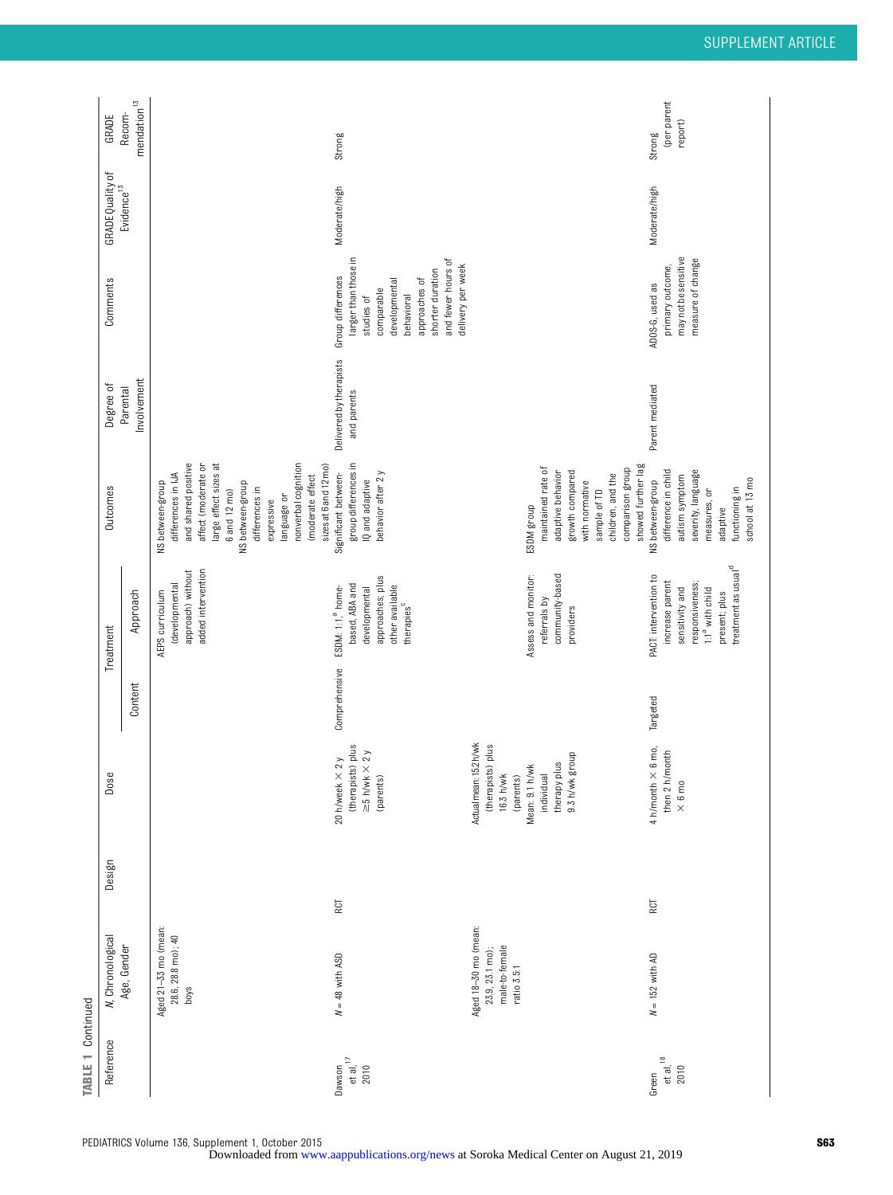| <b>TABLE 1 Continued</b>        |                                                                          |        |                                                                                                                                        |               |                                                                                                                                                                   |                                                                                                                                                                                                                                                                      |                                        |                                                                                                                                                                                      |                                            |                                  |
|---------------------------------|--------------------------------------------------------------------------|--------|----------------------------------------------------------------------------------------------------------------------------------------|---------------|-------------------------------------------------------------------------------------------------------------------------------------------------------------------|----------------------------------------------------------------------------------------------------------------------------------------------------------------------------------------------------------------------------------------------------------------------|----------------------------------------|--------------------------------------------------------------------------------------------------------------------------------------------------------------------------------------|--------------------------------------------|----------------------------------|
| Reference                       | <b>N</b> , Chronological                                                 | Design | Dose                                                                                                                                   |               | Treatment                                                                                                                                                         | Outcomes                                                                                                                                                                                                                                                             | Degree of                              | Comments                                                                                                                                                                             | GRADE Quality of<br>Evidence <sup>13</sup> | GRADE                            |
|                                 | Age, Gender                                                              |        |                                                                                                                                        | Content       | Approach                                                                                                                                                          |                                                                                                                                                                                                                                                                      | Involvement<br>Parental                |                                                                                                                                                                                      |                                            | mendation $13$<br>Recom-         |
|                                 | Aged 21-33 mo (mean:<br>28.6, 28.8 mo); 40<br>boys                       |        |                                                                                                                                        |               | added intervention<br>approach) without<br>(developmental<br>AEPS curriculum                                                                                      | and shared positive<br>affect (moderate or<br>nonverbal cognition<br>large effect sizes at<br>sizes at 6 and 12 mo)<br>differences in IJA<br>(moderate effect<br>NS between-group<br>NS between-group<br>differences in<br>6 and 12 mo)<br>language or<br>expressive |                                        |                                                                                                                                                                                      |                                            |                                  |
| Dawson<br>et al, $17$<br>2010   | $N = 48$ with ASD                                                        | RCT    | (therapists) plus<br>$\geq$ 5 h/wk $\times$ 2 y<br>2y<br>20 h/week $\times$<br>(parents)                                               | Comprehensive | approaches; plus<br>based, ABA and<br>other available<br>ESDM: 1:1, <sup>ª</sup> home-<br>developmental<br>therapies <sup>c</sup>                                 | group differences in<br>behavior after 2 y<br>Significant between-<br>IQ and adaptive                                                                                                                                                                                | Delivered by therapists<br>and parents | larger than those in<br>and fewer hours of<br>delivery per week<br>shorter duration<br>Group differences<br>approaches of<br>developmental<br>comparable<br>behavioral<br>studies of | Moderate/high                              | Strong                           |
|                                 | Aged 18-30 mo (mean:<br>male-to-female<br>23.9, 23.1 mo);<br>ratio 3.5:1 |        | Actual mean: 152 h/wk<br>(therapists) plus<br>therapy plus<br>9.3 h/wk group<br>Mean: 9.1 h/wk<br>16.3 h/wk<br>(parents)<br>individual |               | Assess and monitor:<br>community-based<br>referrals by<br>providers                                                                                               | showed further lag<br>maintained rate of<br>comparison group<br>growth compared<br>adaptive behavior<br>children, and the<br>with normative<br>sample of TD<br>ESDM group                                                                                            |                                        |                                                                                                                                                                                      |                                            |                                  |
| et al, $^{18}$<br>2010<br>Green | $N = 152$ with AD                                                        | RCT    | 6 mo,<br>then 2 h/month<br>$4$ h/month $\times$<br>$\times$ 6 mo                                                                       | Targeted      | treatment as usual <sup>d</sup><br>PACT: intervention to<br>increase parent<br>responsiveness;<br>sensitivity and<br>1:1 <sup>ª</sup> with child<br>present; plus | difference in child<br>severity, language<br>autism symptom<br>school at 13 mo<br>NS between-group<br>functioning in<br>measures, or<br>adaptive                                                                                                                     | Parent mediated                        | may not be sensitive<br>measure of change<br>primary outcome,<br>ADOS-G, used as                                                                                                     | Moderate/high                              | (per parent<br>report)<br>Strong |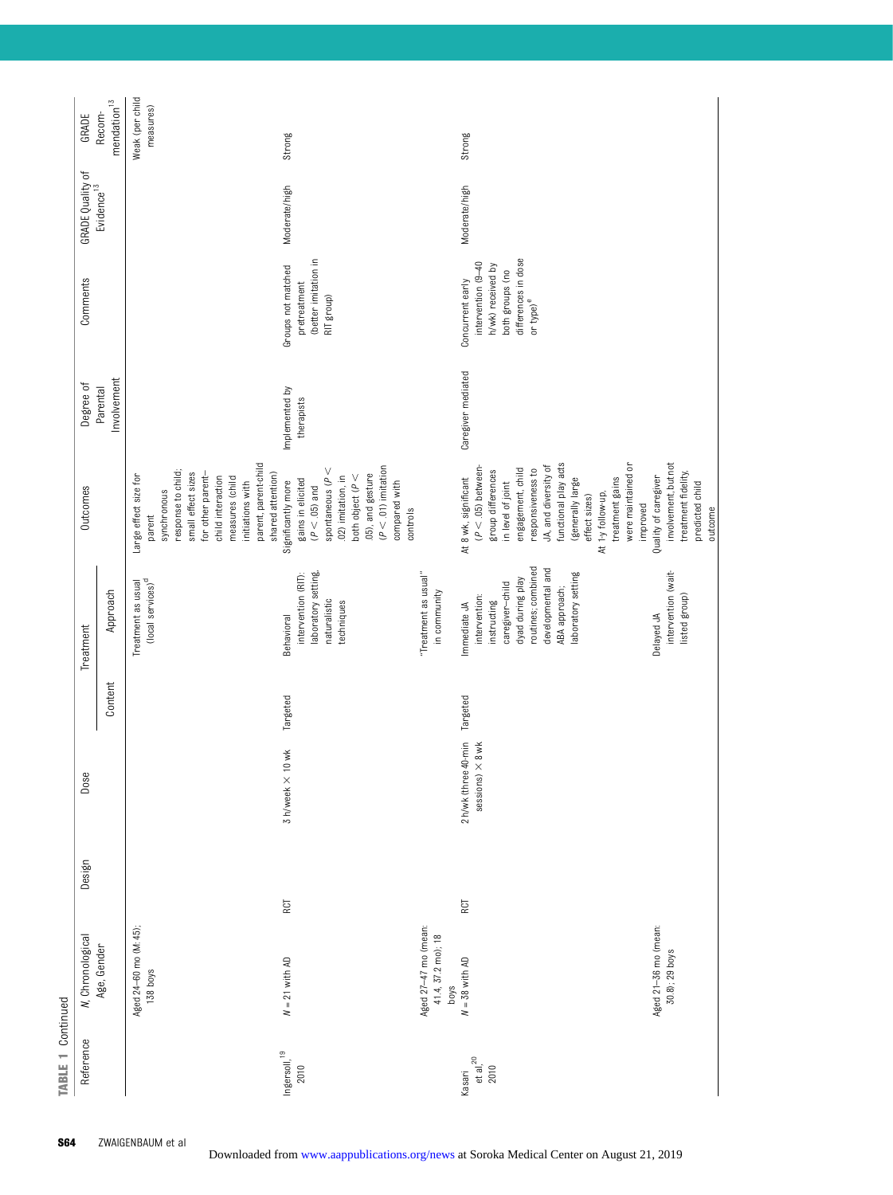| Reference                  | <b>N</b> , Chronological<br>Age, Gender            | Design | Dose                                            |          | Treatment                                                                                                                                                                           | Outcomes                                                                                                                                                                                                                                                                                                                | Degree of<br>Parental        | Comments                                                                                                                       | GRADE Quality of<br>Evidence <sup>13</sup> | Recom-<br>GRADE              |
|----------------------------|----------------------------------------------------|--------|-------------------------------------------------|----------|-------------------------------------------------------------------------------------------------------------------------------------------------------------------------------------|-------------------------------------------------------------------------------------------------------------------------------------------------------------------------------------------------------------------------------------------------------------------------------------------------------------------------|------------------------------|--------------------------------------------------------------------------------------------------------------------------------|--------------------------------------------|------------------------------|
|                            |                                                    |        |                                                 | Content  | Approach                                                                                                                                                                            |                                                                                                                                                                                                                                                                                                                         | Involvement                  |                                                                                                                                |                                            | $\rm{mendation}^{\rm 13}$    |
|                            | Aged 24-60 mo (M: 45);<br>138 boys                 |        |                                                 |          | (local services) <sup>d</sup><br>Treatment as usual                                                                                                                                 | parent, parent-child<br>response to child;<br>small effect sizes<br>for other parent-<br>Large effect size for<br>child interaction<br>measures (child<br>initiations with<br>synchronous<br>parent                                                                                                                     |                              |                                                                                                                                |                                            | Weak (per child<br>measures) |
| $Ingersoll, ^{19}$<br>2010 | $N = 21$ with AD                                   | RCT    | 3 h/week × 10 wk                                | Targeted | laboratory setting,<br>intervention (RIT):<br>naturalistic<br>techniques<br><b>Behavioral</b>                                                                                       | $(P < 01)$ imitation<br>spontaneous ( $P <$<br>.05), and gesture<br>shared attention)<br>both object $(P <$<br>.02) imitation, in<br>gains in elicited<br>Significantly more<br>compared with<br>$(P < .05)$ and<br>controls                                                                                            | Implemented by<br>therapists | (better imitation in<br>Groups not matched<br>pretreatment<br>RIT group)                                                       | Moderate/high                              | Strong                       |
|                            | Aged 27-47 mo (mean:<br>41.4, 37.2 mo); 18<br>boys |        |                                                 |          | "Treatment as usual"<br>in community                                                                                                                                                |                                                                                                                                                                                                                                                                                                                         |                              |                                                                                                                                |                                            |                              |
| et al, $^{20}$<br>Kasari   | Aged 21-36 mo (mean:<br>$N = 38$ with AD           | RCT    | 2 h/wk (three 40-min<br>sessions) $\times$ 8 wk | Targeted | routines; combined<br>developmental and<br>laboratory setting<br>dyad during play<br>caregiver-child<br>ABA approach;<br>intervention:<br>instructing<br>Immediate JA<br>Delayed JA | functional play acts<br>were maintained or<br>JA, and diversity of<br>$(P < .05)$ between-<br>engagement, child<br>responsiveness to<br>group differences<br>Quality of caregiver<br>At 8 wk, significant<br>(generally large<br>treatment gains<br>in level of joint<br>At 1-y follow-up,<br>effect sizes)<br>improved | Caregiver mediated           | differences in dose<br>intervention (9-40<br>h/wk) received by<br>both groups (no<br>Concurrent early<br>or type) <sup>e</sup> | Moderate/high                              | Strong                       |
|                            | 30.8); 29 boys                                     |        |                                                 |          | intervention (wait-<br>listed group)                                                                                                                                                | involvement, but not<br>treatment fidelity,<br>predicted child<br>outcome                                                                                                                                                                                                                                               |                              |                                                                                                                                |                                            |                              |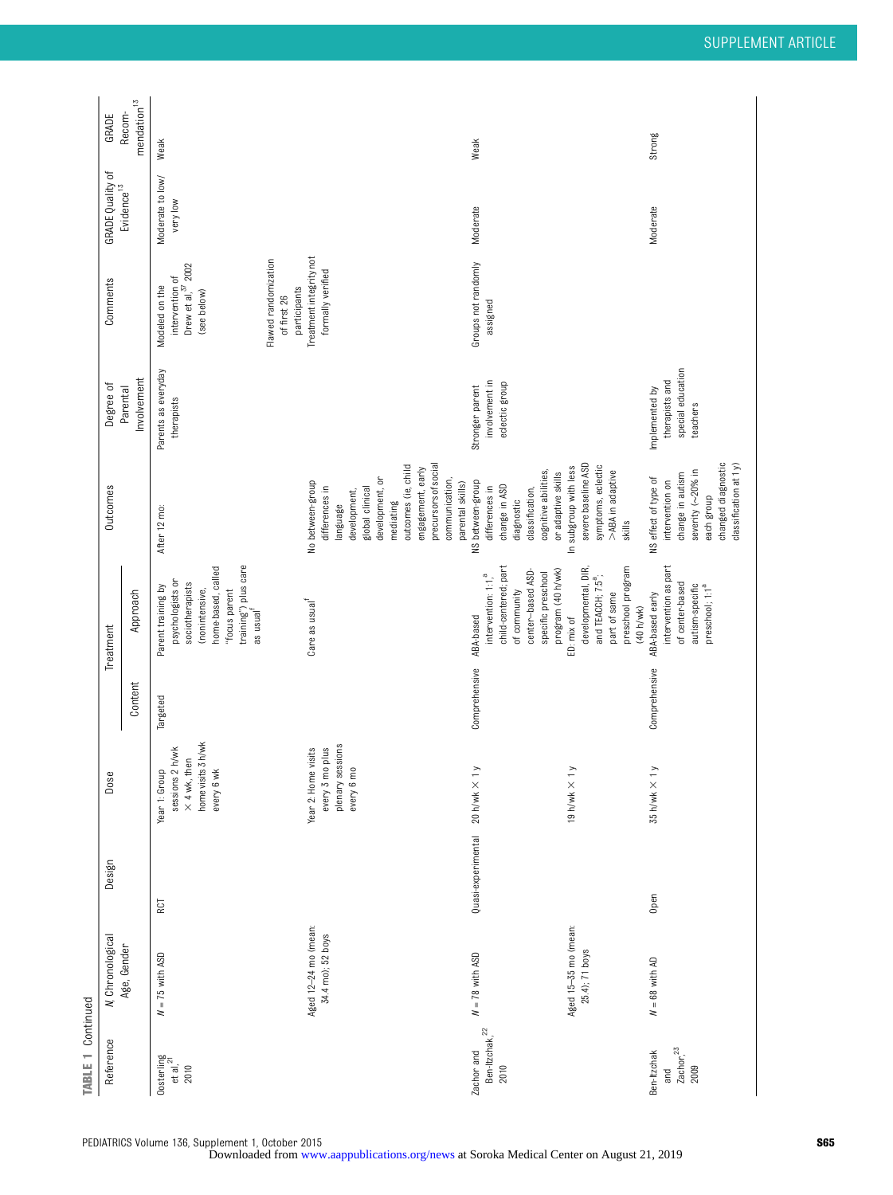| TABLE 1 Continued                                |                                           |                    |                  |                                                                                            |               |                                                                                                                                                                     |                                                                                                                                                                                                                             |                                                                   |                                                                            |                              |                                  |
|--------------------------------------------------|-------------------------------------------|--------------------|------------------|--------------------------------------------------------------------------------------------|---------------|---------------------------------------------------------------------------------------------------------------------------------------------------------------------|-----------------------------------------------------------------------------------------------------------------------------------------------------------------------------------------------------------------------------|-------------------------------------------------------------------|----------------------------------------------------------------------------|------------------------------|----------------------------------|
| Reference                                        | <b>N</b> , Chronological                  | Design             |                  | Dose                                                                                       |               | Treatment                                                                                                                                                           | Outcomes                                                                                                                                                                                                                    | Degree of                                                         | Comments                                                                   | <b>GRADE Quality of</b>      | GRADE                            |
|                                                  | Age, Gender                               |                    |                  |                                                                                            | Content       | Approach                                                                                                                                                            |                                                                                                                                                                                                                             | Involvement<br>Parental                                           |                                                                            | Evidence <sup>13</sup>       | $\,$ mendation $^{13}$<br>Recom- |
| Oosterling<br>et al, <sup>21</sup><br>2010       | $N = 75$ with ASD                         | RCT                |                  | home visits 3h/wk<br>Year 1: Group<br>sessions 2 h/wk<br>$\times$ 4 wk, then<br>every 6 wk | Targeted      | training") plus care<br>as usual <sup>f</sup><br>home-based, called<br>psychologists or<br>sociotherapists<br>Parent training by<br>(nonintensive,<br>"focus parent | After 12 mo:                                                                                                                                                                                                                | Parents as everyday<br>therapists                                 | Drew et al, $3^7$ 2002<br>intervention of<br>Modeled on the<br>(see below) | Moderate to low/<br>very low | Weak                             |
|                                                  |                                           |                    |                  |                                                                                            |               |                                                                                                                                                                     |                                                                                                                                                                                                                             |                                                                   | Flawed randomization<br>participants<br>of first 26                        |                              |                                  |
|                                                  | Aged 12-24 mo (mean:<br>34.4 mo); 52 boys |                    | plenary          | sessions<br>Year 2: Home visits<br>every 3 mo plus<br>every 6 mo                           |               | Care as usual                                                                                                                                                       | outcomes (ie, child<br>precursors of social<br>engagement, early<br>development, or<br>communication,<br>No between-group<br>parental skills)<br>differences in<br>global clinical<br>development,<br>language<br>mediating |                                                                   | Treatment integrity not<br>formally verified                               |                              |                                  |
| Ben-Itzchak, <sup>22</sup><br>2010<br>Zachor and | $N = 78$ with ASD                         | Quasi-experimental | 20 h/wk $\times$ | $\geq$                                                                                     | Comprehensive | child-centered; part<br>center-based ASD-<br>program (40 h/wk)<br>specific preschool<br>intervention: 1:1, <sup>a</sup><br>of community<br>ABA-based                | cognitive abilities,<br>or adaptive skills<br>NS between-group<br>change in ASD<br>differences in<br>classification,<br>diagnostic                                                                                          | involvement in<br>eclectic group<br>Stronger parent               | Groups not randomly<br>assigned                                            | Moderate                     | Weak                             |
|                                                  | Aged 15-35 mo (mean:<br>25.4); 71 boys    |                    | 19 h/wk $\times$ | $\geq$                                                                                     |               | developmental, DIR,<br>preschool program<br>and TEACCH; 7:5 <sup>a</sup> ;<br>part of same<br>(40 h/wk)<br>ED: mix of                                               | severe baseline ASD<br>symptoms, eclectic<br>In subgroup with less<br>>ABA in adaptive<br>skills                                                                                                                            |                                                                   |                                                                            |                              |                                  |
| $\frac{7}{2009}$<br>Ben-Itzchak<br>and           | $N = 68$ with AD                          | Open               | 35 h/wk × 1 y    |                                                                                            | Comprehensive | intervention as part<br>of center-based<br>autism-specific<br>preschool; 1:1 <sup>a</sup><br>ABA-based early                                                        | changed diagnostic<br>$classification$ at 1 $y$ )<br>severity (~20% in<br>change in autism<br>NS effect of type of<br>intervention on<br>each group                                                                         | special education<br>therapists and<br>Implemented by<br>teachers |                                                                            | Moderate                     | Strong                           |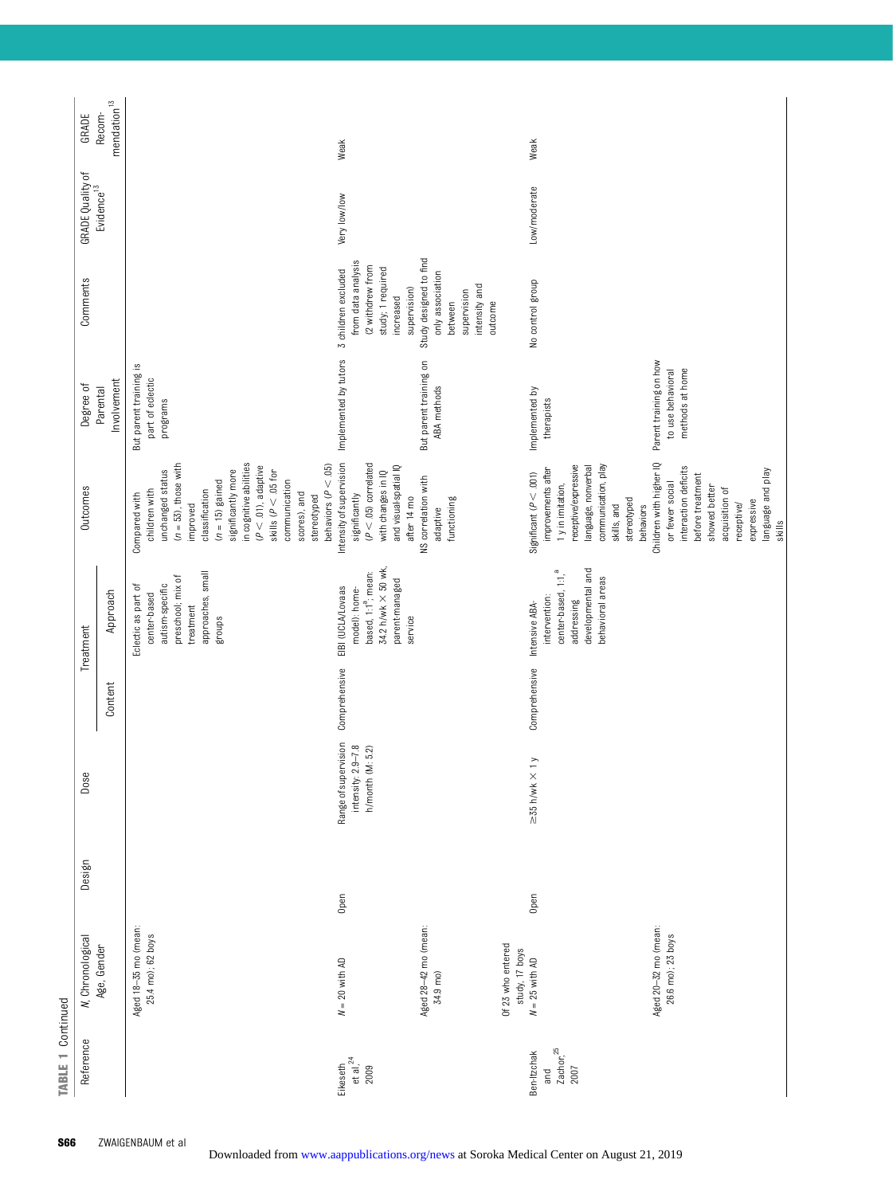| <b>TABLE 1 Continued</b>                    |                                                         |        |                                                                   |               |                                                                                                                           |                                                                                                                                                                                                                                                                                                                 |                                                                |                                                                                                                 |                                            |                         |
|---------------------------------------------|---------------------------------------------------------|--------|-------------------------------------------------------------------|---------------|---------------------------------------------------------------------------------------------------------------------------|-----------------------------------------------------------------------------------------------------------------------------------------------------------------------------------------------------------------------------------------------------------------------------------------------------------------|----------------------------------------------------------------|-----------------------------------------------------------------------------------------------------------------|--------------------------------------------|-------------------------|
| Reference                                   | <b>N</b> , Chronological                                | Design | Dose                                                              |               | Treatment                                                                                                                 | <b>Outcomes</b>                                                                                                                                                                                                                                                                                                 | Degree of                                                      | Comments                                                                                                        | GRADE Quality of<br>Evidence <sup>13</sup> | GRADE                   |
|                                             | Age, Gender                                             |        |                                                                   | Content       | Approach                                                                                                                  |                                                                                                                                                                                                                                                                                                                 | Involvement<br>Parental                                        |                                                                                                                 |                                            | $mendation13$<br>Recom- |
|                                             | Aged 18-35 mo (mean:<br>25.4 mo); 62 boys               |        |                                                                   |               | approaches, small<br>preschool; mix of<br>autism-specific<br>Eclectic as part of<br>center-based<br>treatment<br>groups   | in cognitive abilities<br>$(n = 53)$ , those with<br>$(P < .01)$ , adaptive<br>behaviors ( $P < .05$ )<br>significantly more<br>unchanged status<br>skills ( $P < .05$ for<br>$(n = 15)$ gained<br>communication<br>classification<br>children with<br>scores), and<br>Compared with<br>stereotyped<br>improved | But parent training is<br>part of eclectic<br>programs         |                                                                                                                 |                                            |                         |
| Eikeseth<br>et al, <sup>24</sup><br>2009    | $N = 20$ with AD                                        | Open   | Range of supervision<br>intensity: 2.9-7.8<br>(M: 5.2)<br>h/month | Comprehensive | 34.2 h/wk × 50 wk,<br>based, 1:1 <sup>ª</sup> ; mean:<br>parent-managed<br>EIBI (UCLA/Lovaas<br>model): home-<br>service  | Intensity of supervision<br>$(P < .05)$ correlated<br>and visual-spatial IQ<br>with changes in IQ<br>significantly<br>after 14 mo                                                                                                                                                                               | Implemented by tutors                                          | from data analysis<br>(2 withdrew from<br>study; 1 required<br>3 children excluded<br>supervision)<br>increased | Very low/low                               | Weak                    |
|                                             | Aged 28-42 mo (mean:<br>34.9 mo)                        |        |                                                                   |               |                                                                                                                           | NS correlation with<br>functioning<br>adaptive                                                                                                                                                                                                                                                                  | But parent training on<br>ABA methods                          | Study designed to find<br>only association<br>intensity and<br>supervision<br>outcome<br>between                |                                            |                         |
| $\frac{7}{2007}^{25}$<br>Ben-Itzchak<br>and | Of 23 who entered<br>study, 17 boys<br>$N = 25$ with AD | Open   | $\geq$ 35 h/wk $\times$ 1 y                                       | Comprehensive | developmental and<br>center-based, 1:1, <sup>a</sup><br>behavioral areas<br>intervention:<br>addressing<br>Intensive ABA- | receptive/expressive<br>communication, play<br>language, nonverbal<br>improvements after<br>Significant ( $P < .001$ )<br>1 y in imitation,                                                                                                                                                                     | Implemented by<br>therapists                                   | No control group                                                                                                | Low/moderate                               | Weak                    |
|                                             | Aged 20-32 mo (mean:<br>26.6 mo); 23 boys               |        |                                                                   |               |                                                                                                                           | Children with higher IQ<br>interaction deficits<br>language and play<br>before treatment<br>or fewer social<br>showed better<br>acquisition of<br>stereotyped<br>expressive<br>receptive/<br>skills, and<br>behaviors                                                                                           | Parent training on how<br>methods at home<br>to use behavioral |                                                                                                                 |                                            |                         |
|                                             |                                                         |        |                                                                   |               |                                                                                                                           | skills                                                                                                                                                                                                                                                                                                          |                                                                |                                                                                                                 |                                            |                         |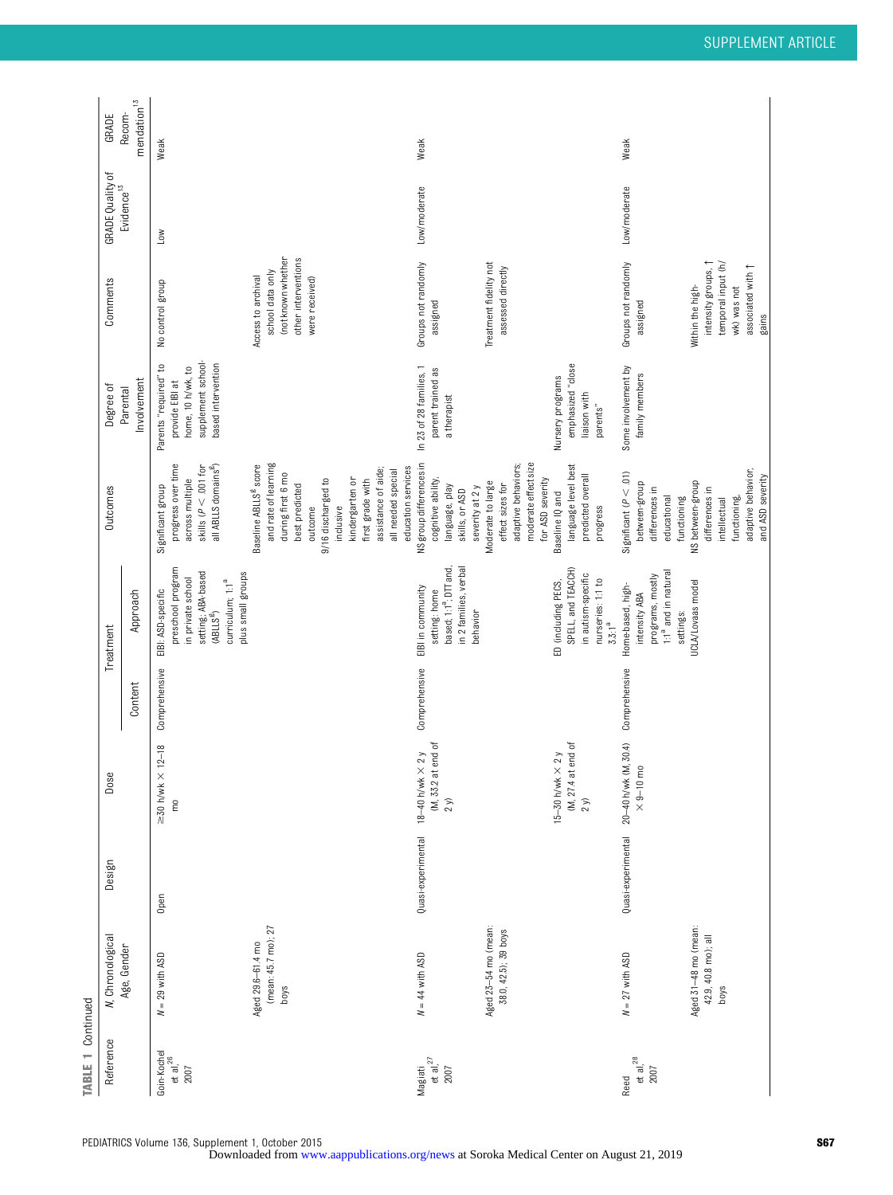| <b>TABLE 1 Continued</b>                       |                                                     |                    |                                                              |               |                                                                                                                                                        |                                                                                                                                                                   |                                                                                                              |                                                                                                                     |                          |                         |
|------------------------------------------------|-----------------------------------------------------|--------------------|--------------------------------------------------------------|---------------|--------------------------------------------------------------------------------------------------------------------------------------------------------|-------------------------------------------------------------------------------------------------------------------------------------------------------------------|--------------------------------------------------------------------------------------------------------------|---------------------------------------------------------------------------------------------------------------------|--------------------------|-------------------------|
| Reference                                      | <b>N</b> , Chronological                            | Design             | يو<br>δos                                                    |               | Treatment                                                                                                                                              | Outcomes                                                                                                                                                          | Degree of                                                                                                    | Comments                                                                                                            | <b>GRADE Quality of</b>  | GRADE                   |
|                                                | Age, Gender                                         |                    |                                                              | Content       | Approach                                                                                                                                               |                                                                                                                                                                   | Involvement<br>Parental                                                                                      |                                                                                                                     | Evidence <sup>13</sup>   | $mendation13$<br>Recom- |
| Goin-Kochel<br>et al, $^{26}$<br>2007          | $N = 29$ with ASD                                   | Open               | $\times$ 12-18<br>$\geq$ 30 h/wk<br>$\widetilde{\mathsf{E}}$ | Comprehensive | preschool program<br>setting; ABA-based<br>plus small groups<br>in private school<br>curriculum; 1:1 <sup>a</sup><br>EIBI: ASD-specific<br>$(ABLLS^8)$ | progress over time<br>all ABLLS domains <sup>8</sup> )<br>skills ( $P < .001$ for<br>across multiple<br>Significant group                                         | supplement school-<br>based intervention<br>S,<br>home, 10 h/wk, to<br>Parents "required"<br>provide EIBI at | No control group                                                                                                    | $\overline{\phantom{0}}$ | Weak                    |
|                                                | (mean: 45.7 mo); 27<br>Aged 29.6-61.4 mo<br>boys    |                    |                                                              |               |                                                                                                                                                        | and rate of learning<br>Baseline ABLLS <sup>6</sup> score<br>during first 6 mo<br>kindergarten or<br>9/16 discharged to<br>best predicted<br>outcome<br>inclusive |                                                                                                              | (not known whether<br>other interventions<br>school data only<br>Access to archival<br>were received)               |                          |                         |
|                                                |                                                     |                    |                                                              |               |                                                                                                                                                        | education services<br>assistance of aide;<br>all needed special<br>first grade with                                                                               |                                                                                                              |                                                                                                                     |                          |                         |
| $\frac{1}{10}$ at al, <sup>27</sup><br>Magiati | $N = 44$ with ASD                                   | Quasi-experimental | at end of<br>18-40 h/wk $\times$ 2 y<br>(M, 33.2)<br>$2 y)$  | Comprehensive | based; 1:1 <sup>ª</sup> ; DTT and,<br>in 2 families, verbal<br>EIBI in community<br>setting: home<br>behavior                                          | NS group differences in<br>cognitive ability,<br>language, play<br>severity at 2 y<br>skills, or ASD                                                              | In 23 of 28 families, 1<br>parent trained as<br>a therapist                                                  | Groups not randomly<br>assigned                                                                                     | Low/moderate             | Weak                    |
|                                                | Aged 23-54 mo (mean:<br>38.0, 42.5); 39 boys        |                    | at end of<br>15-30 h/wk $\times$ 2 y<br>(M, 27.4)            |               | SPELL, and TEACCH)<br>ED (including PECS,                                                                                                              | moderate effect size<br>adaptive behaviors;<br>language level best<br>for ASD severity<br>Moderate to large<br>effect sizes for<br>Baseline IQ and                | emphasized "close<br>Nursery programs                                                                        | Treatment fidelity not<br>assessed directly                                                                         |                          |                         |
|                                                |                                                     |                    | $2 y)$                                                       |               | in autism-specific<br>nurseries: 1:1 to<br>$3.3:1^a$                                                                                                   | predicted overall<br>progress                                                                                                                                     | liaison with<br>parents"                                                                                     |                                                                                                                     |                          |                         |
| et al, $^{28}$<br>2007<br>Reed                 | $N = 27$ with ASD                                   | Quasi-experimental | 20-40 h/wk (M, 30.4)<br>mo<br>$\times$ 9–10 $\times$         | Comprehensive | 1:1 <sup>ª</sup> and in natural<br>programs, mostly<br>Home-based, high-<br>intensity ABA<br>settings:                                                 | Significant ( $P < .01$ )<br>between-group<br>differences in<br>educational<br>functioning                                                                        | Some involvement by<br>family members                                                                        | Groups not randomly<br>assigned                                                                                     | Low/moderate             | Weak                    |
|                                                | Aged 31-48 mo (mean:<br>42.9, 40.8 mo); all<br>boys |                    |                                                              |               | UCLA/Lovaas model                                                                                                                                      | adaptive behavior,<br>and ASD severity<br>NS between-group<br>differences in<br>functioning,<br>intellectual                                                      |                                                                                                              | intensity groups, 1<br>temporal input (h/<br>associated with $\uparrow$<br>Within the high-<br>wk) was not<br>gains |                          |                         |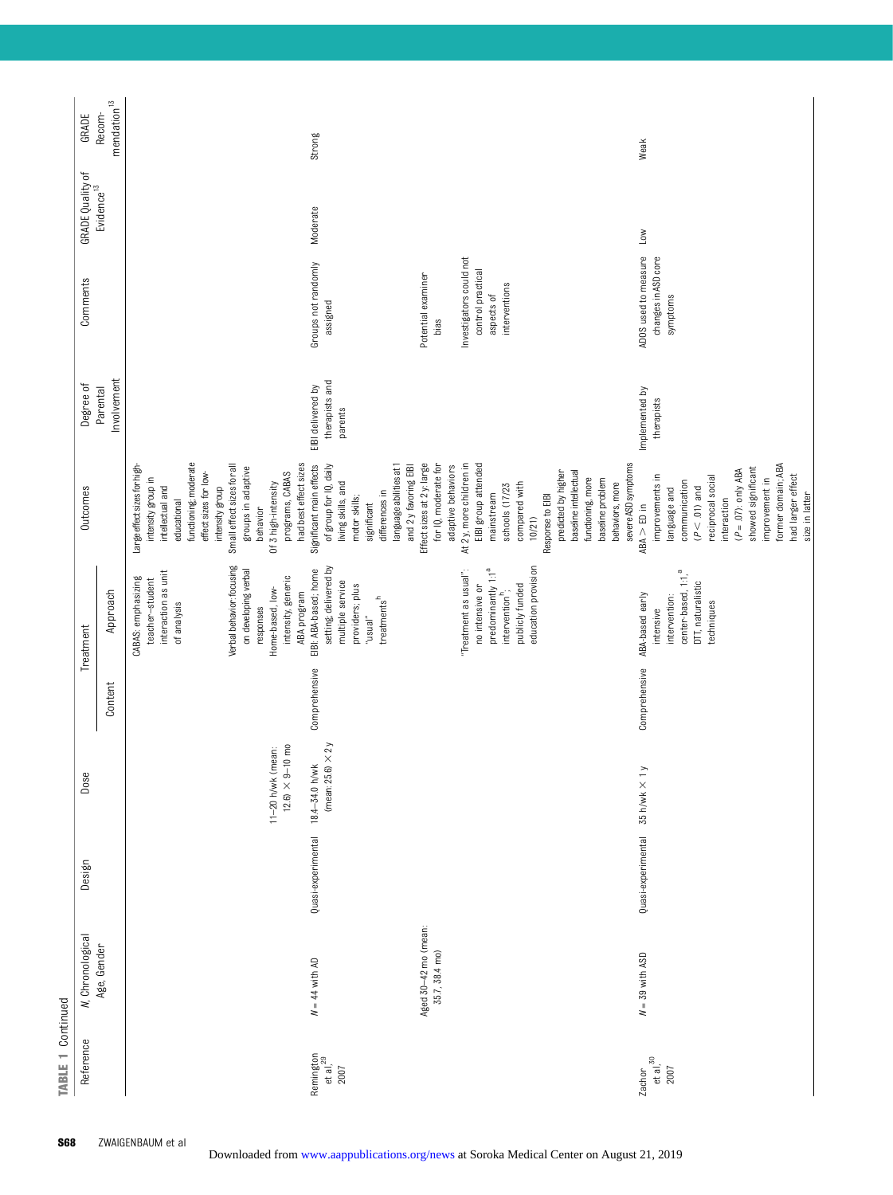| Reference                                 | N, Chronological                       | Design             | Dose                                                        |               | Treatment                                                                                                                                                                               | <b>Outcomes</b>                                                                                                                                                                                                                                                      | Degree of                                      | Comments                                                                                 | GRADE Quality of<br>Evidence <sup>13</sup> | GRADE                    |
|-------------------------------------------|----------------------------------------|--------------------|-------------------------------------------------------------|---------------|-----------------------------------------------------------------------------------------------------------------------------------------------------------------------------------------|----------------------------------------------------------------------------------------------------------------------------------------------------------------------------------------------------------------------------------------------------------------------|------------------------------------------------|------------------------------------------------------------------------------------------|--------------------------------------------|--------------------------|
|                                           | Age, Gender                            |                    |                                                             | Content       | Approach                                                                                                                                                                                |                                                                                                                                                                                                                                                                      | Involvement<br>Parental                        |                                                                                          |                                            | mendation $13$<br>Recom- |
|                                           |                                        |                    | $12.6$ $\times$ $9\text{--}10$ mo<br>(mean:<br>$11-20$ h/wk |               | Verbal behavior: focusing<br>on developing verbal<br>interaction as unit<br>intensity, generic<br>CABAS: emphasizing<br>teacher-student<br>Home-based, low-<br>of analysis<br>responses | functioning; moderate<br>Small effect sizes for all<br>Large effect sizes for high-<br>groups in adaptive<br>effect sizes for low-<br>programs, CABAS<br>intensity group in<br>Of 3 high-intensity<br>intellectual and<br>intensity group<br>educational<br>behavior |                                                |                                                                                          |                                            |                          |
| Remington<br>et al, <sup>29</sup><br>2007 | $N = 44$ with AD                       | Quasi-experimental | (mean: $25.6$ ) $\times$ $2y$<br>18.4-34.0 h/wk             | Comprehensive | setting; delivered by<br>EIBI: ABA-based; home<br>multiple service<br>providers; plus<br>ABA program<br>treatments <sup>h</sup><br>$_{u}$ lensn,,                                       | had best effect sizes<br>of group for IQ, daily<br>language abilities at 1<br>Significant main effects<br>and 2 y favoring EIBI<br>living skills, and<br>differences in<br>motor skills;<br>significant                                                              | therapists and<br>EIBI delivered by<br>parents | Groups not randomly<br>assigned                                                          | Moderate                                   | <b>Strong</b>            |
|                                           | Aged 30-42 mo (mean:<br>35.7, 38.4 mo) |                    |                                                             |               | predominantly 1:1 <sup>a</sup><br>"Treatment as usual":<br>no intensive or                                                                                                              | Effect sizes at 2y: large<br>for IQ, moderate for<br>At 2 y, more children in<br>EIBI group attended<br>adaptive behaviors<br>mainstream                                                                                                                             |                                                | Investigators could not<br>control practical<br>Potential examiner<br>aspects of<br>bias |                                            |                          |
|                                           |                                        |                    |                                                             |               | education provision<br>publicly funded<br>intervention <sup>h</sup> ;                                                                                                                   | severe ASD symptoms<br>baseline intellectual<br>predicted by higher<br>functioning, more<br>baseline problem<br>behaviors, more<br>compared with<br>schools (17/23<br>Response to EIBI<br>10/21)                                                                     |                                                | interventions                                                                            |                                            |                          |
| et al, $30$<br>2007<br>Zachor             | $N = 39$ with ASD                      | Quasi-experimental | $\rightarrow$<br>35 h/wk ×                                  | Comprehensive | center-based, 1:1, <sup>a</sup><br>DTT, naturalistic<br>ABA-based early<br>intervention:<br>techniques<br>intensive                                                                     | former domain; ABA<br>showed significant<br>$(P = .07)$ : only ABA<br>improvements in<br>had larger effect<br>reciprocal social<br>improvement in<br>communication<br>$(P < .01)$ and<br>language and<br>size in latter<br>interaction<br>$ABA > ED in$              | Implemented by<br>therapists                   | ADOS used to measure<br>changes in ASD core<br>symptoms                                  | Low                                        | Weak                     |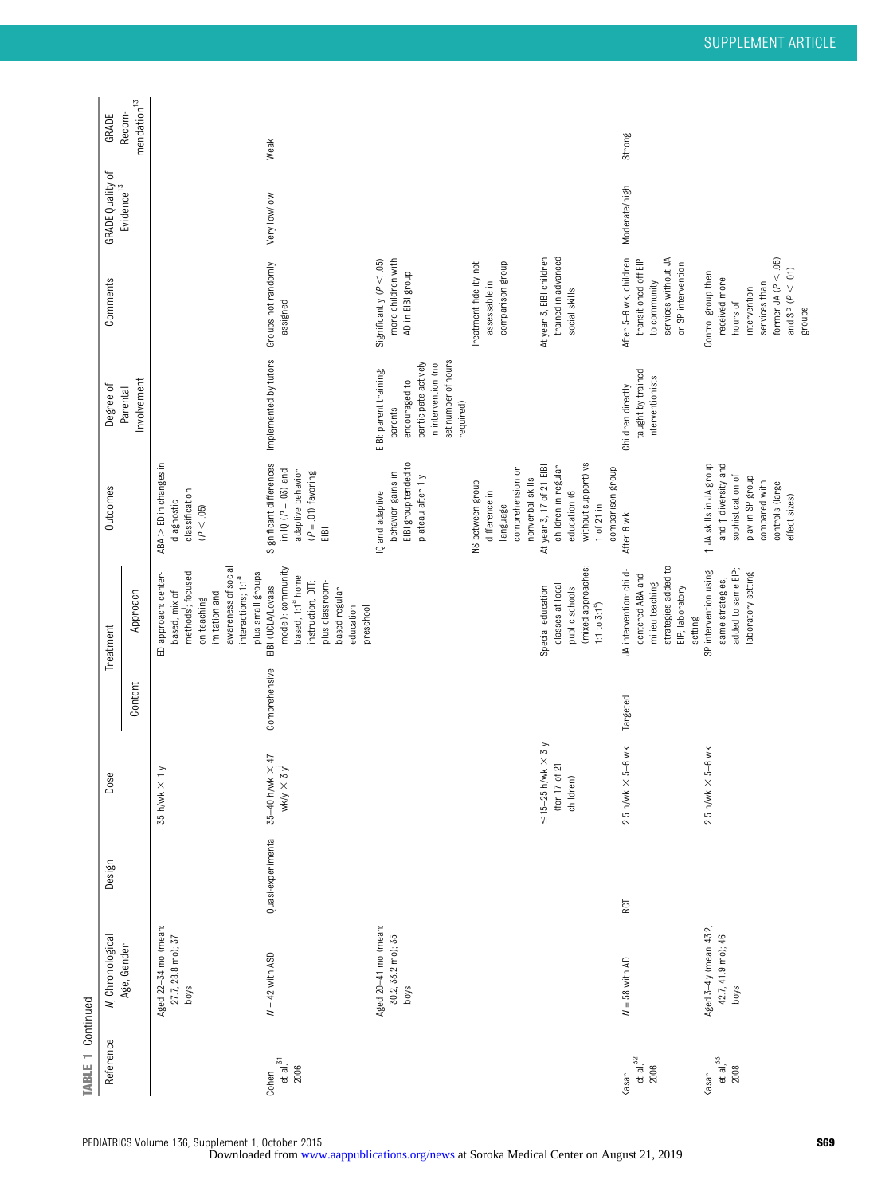| <b>TABLE 1 Continued</b>        |                                                       |                    |                                                                         |               |                                                                                                                                                                         |                                                                                                                                                       |                                                                                                                                       |                                                                                                                                             |                                            |                         |
|---------------------------------|-------------------------------------------------------|--------------------|-------------------------------------------------------------------------|---------------|-------------------------------------------------------------------------------------------------------------------------------------------------------------------------|-------------------------------------------------------------------------------------------------------------------------------------------------------|---------------------------------------------------------------------------------------------------------------------------------------|---------------------------------------------------------------------------------------------------------------------------------------------|--------------------------------------------|-------------------------|
| Reference                       | N, Chronological                                      | Design             | Dose                                                                    |               | Treatment                                                                                                                                                               | Outcomes                                                                                                                                              | Degree of                                                                                                                             | Comments                                                                                                                                    | GRADE Quality of<br>Evidence <sup>13</sup> | GRADE                   |
|                                 | Age, Gender                                           |                    |                                                                         | Content       | Approach                                                                                                                                                                |                                                                                                                                                       | Involvement<br>Parental                                                                                                               |                                                                                                                                             |                                            | $mendation13$<br>Recom- |
|                                 | Aged 22-34 mo (mean:<br>27.7, 28.8 mo); 37<br>boys    |                    | $\geq$<br>$35 h/$ wk $\times$                                           |               | awareness of social<br>methods; focused<br>plus small groups<br>ED approach: center-<br>interactions; 1:1 <sup>ª</sup><br>based, mix of<br>imitation and<br>on teaching | ABA > ED in changes in<br>classification<br>diagnostic<br>(P < .05)                                                                                   |                                                                                                                                       |                                                                                                                                             |                                            |                         |
| et al, $^{31}$<br>2006<br>Cohen | $N = 42$ with ASD                                     | Quasi-experimental | 5–40 h/wk $\times$ 47<br>wk/y $\times$ 3 y <sup>j</sup><br>$35-40$ h/wk | Comprehensive | model): community<br>based, 1:1 <sup>ª</sup> home<br>instruction, DTT;<br>plus classroom-<br>EIBI (UCLA/Lovaas<br>based regular<br>education<br>preschool               | Significant differences<br>in IQ $(P = .03)$ and<br>adaptive behavior<br>$(P = .01)$ favoring<br>EIBI                                                 | Implemented by tutors                                                                                                                 | Groups not randomly<br>assigned                                                                                                             | Very low/low                               | Weak                    |
|                                 | Aged 20-41 mo (mean:<br>30.2, 33.2 mo); 35<br>boys    |                    |                                                                         |               |                                                                                                                                                                         | EIBI group tended to<br>behavior gains in<br>plateau after 1 y<br>IQ and adaptive                                                                     | set number of hours<br>participate actively<br>in intervention (no<br>EIBI: parent training;<br>encouraged to<br>required)<br>parents | more children with<br>Significantly ( $P < .05$ )<br>AD in EIBI group                                                                       |                                            |                         |
|                                 |                                                       |                    |                                                                         |               |                                                                                                                                                                         | comprehension or<br>nonverbal skills<br>NS between-group<br>difference in<br>language                                                                 |                                                                                                                                       | comparison group<br>Treatment fidelity not<br>assessable in                                                                                 |                                            |                         |
|                                 |                                                       |                    | $\leq$ 15-25 h/wk $\times$ 3 y<br>(for 17 of 21<br>children)            |               | (mixed approaches;<br>classes at local<br>Special education<br>public schools<br>1:1 to $3:1^a$                                                                         | without support) vs<br>At year 3, 17 of 21 EIBI<br>children in regular<br>comparison group<br>education (6<br>$1$ of $21$ in                          |                                                                                                                                       | trained in advanced<br>At year 3, EIBI children<br>social skills                                                                            |                                            |                         |
| et al, $32$<br>2006<br>Kasari   | $N = 58$ with AD                                      | RCT                | $5-6$ wk<br>$2.5$ h/wk $\times$                                         | Targeted      | strategies added to<br>JA intervention: child-<br>centered ABA and<br>milieu teaching<br>EIP; laboratory<br>setting                                                     | After 6 wk:                                                                                                                                           | taught by trained<br>interventionists<br>Children directly                                                                            | services without JA<br>After 5-6 wk, children<br>transitioned off EIP<br>or SP intervention<br>to community                                 | Moderate/high                              | Strong                  |
| et al, $33$<br>2008<br>Kasari   | Aged 3-4 y (mean: 43.2,<br>42.7, 41.9 mo); 46<br>boys |                    | 5-6 wk<br>$2.5$ h/wk $\times$                                           |               | added to same EIP;<br>SP intervention using<br>laboratory setting<br>same strategies,                                                                                   | t JA skills in JA group<br>and $\uparrow$ diversity and<br>sophistication of<br>play in SP group<br>controls (large<br>compared with<br>effect sizes) |                                                                                                                                       | former JA ( $P < .05$ )<br>and SP $(P < .01)$<br>Control group then<br>received more<br>services than<br>intervention<br>hours of<br>groups |                                            |                         |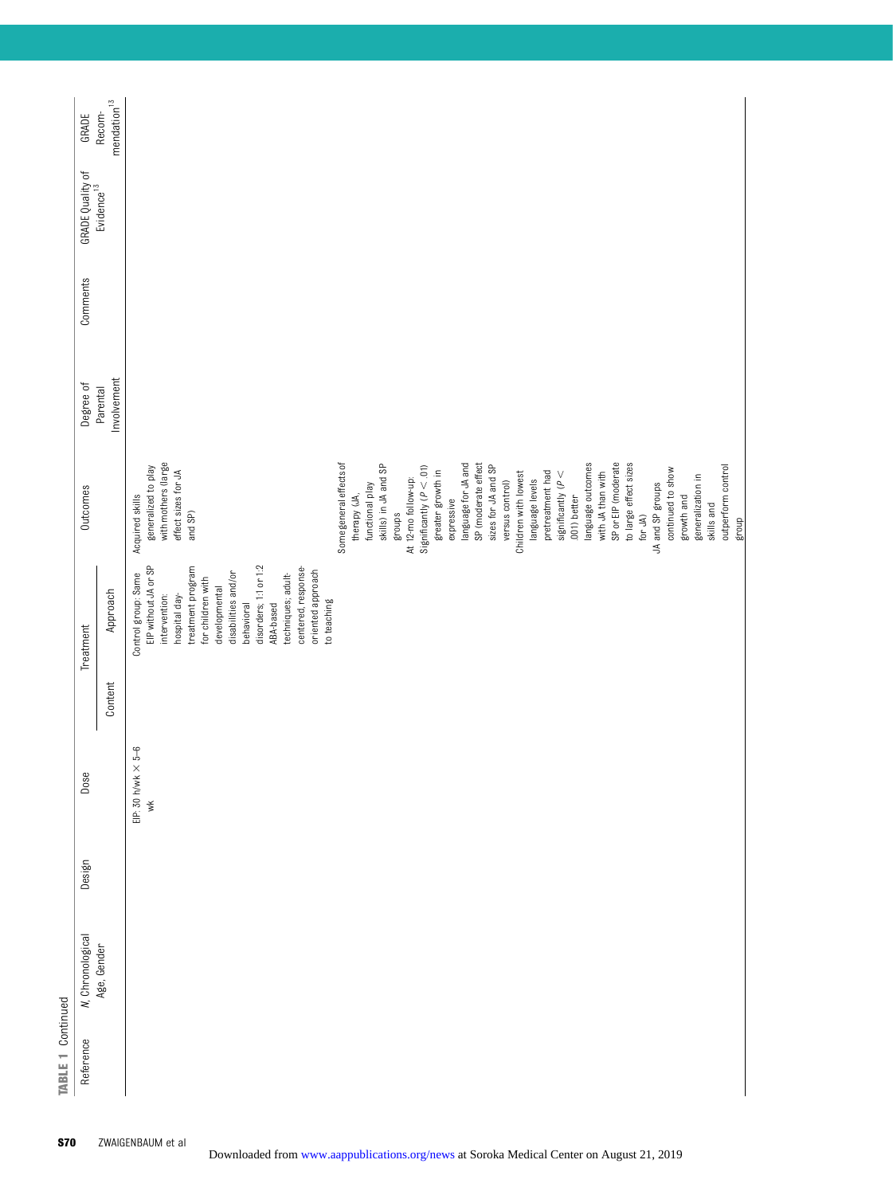| <b>TABLE 1 Continued</b> |                          |        |                              |         |                                        |                             |                         |          |                         |                                |
|--------------------------|--------------------------|--------|------------------------------|---------|----------------------------------------|-----------------------------|-------------------------|----------|-------------------------|--------------------------------|
| Reference                | <b>N</b> , Chronological | Design | Dose                         |         | Treatment                              | <b>Outcomes</b>             | Degree of               | Comments | <b>GRADE Quality of</b> | GRADE                          |
|                          | Age, Gender              |        |                              | Content | Approach                               |                             | Involvement<br>Parental |          | Evidence <sup>13</sup>  | $m$ endation $^{13}$<br>Recom- |
|                          |                          |        | $\times$ 5–6<br>EIP: 30 h/wk |         | Control group: Same                    | Acquired skills             |                         |          |                         |                                |
|                          |                          |        | $\breve{}$                   |         | EIP without JA or SP                   | generalized to play         |                         |          |                         |                                |
|                          |                          |        |                              |         | intervention:                          | with mothers (large         |                         |          |                         |                                |
|                          |                          |        |                              |         | hospital day-                          | effect sizes for JA         |                         |          |                         |                                |
|                          |                          |        |                              |         | treatment program<br>for children with | and SP)                     |                         |          |                         |                                |
|                          |                          |        |                              |         | developmental                          |                             |                         |          |                         |                                |
|                          |                          |        |                              |         | disabilities and/or                    |                             |                         |          |                         |                                |
|                          |                          |        |                              |         | behavioral                             |                             |                         |          |                         |                                |
|                          |                          |        |                              |         | disorders; 1:1 or 1:2                  |                             |                         |          |                         |                                |
|                          |                          |        |                              |         | ABA-based                              |                             |                         |          |                         |                                |
|                          |                          |        |                              |         | techniques; adult-                     |                             |                         |          |                         |                                |
|                          |                          |        |                              |         | centered, response-                    |                             |                         |          |                         |                                |
|                          |                          |        |                              |         | oriented approach                      |                             |                         |          |                         |                                |
|                          |                          |        |                              |         | to teaching                            |                             |                         |          |                         |                                |
|                          |                          |        |                              |         |                                        | Some general effects of     |                         |          |                         |                                |
|                          |                          |        |                              |         |                                        | therapy (JA,                |                         |          |                         |                                |
|                          |                          |        |                              |         |                                        | functional play             |                         |          |                         |                                |
|                          |                          |        |                              |         |                                        | skills) in JA and SP        |                         |          |                         |                                |
|                          |                          |        |                              |         |                                        | groups                      |                         |          |                         |                                |
|                          |                          |        |                              |         |                                        | At 12-mo follow-up:         |                         |          |                         |                                |
|                          |                          |        |                              |         |                                        | Significantly ( $P < .01$ ) |                         |          |                         |                                |
|                          |                          |        |                              |         |                                        | greater growth in           |                         |          |                         |                                |
|                          |                          |        |                              |         |                                        | expressive                  |                         |          |                         |                                |
|                          |                          |        |                              |         |                                        | language for JA and         |                         |          |                         |                                |
|                          |                          |        |                              |         |                                        | SP (moderate effect         |                         |          |                         |                                |
|                          |                          |        |                              |         |                                        | sizes for JA and SP         |                         |          |                         |                                |
|                          |                          |        |                              |         |                                        | versus control)             |                         |          |                         |                                |
|                          |                          |        |                              |         |                                        | Children with lowest        |                         |          |                         |                                |
|                          |                          |        |                              |         |                                        | language levels             |                         |          |                         |                                |
|                          |                          |        |                              |         |                                        | pretreatment had            |                         |          |                         |                                |
|                          |                          |        |                              |         |                                        | significantly ( $P <$       |                         |          |                         |                                |
|                          |                          |        |                              |         |                                        | .001) better                |                         |          |                         |                                |
|                          |                          |        |                              |         |                                        | language outcomes           |                         |          |                         |                                |
|                          |                          |        |                              |         |                                        | with JA than with           |                         |          |                         |                                |
|                          |                          |        |                              |         |                                        | SP or EIP (moderate         |                         |          |                         |                                |
|                          |                          |        |                              |         |                                        | to large effect sizes       |                         |          |                         |                                |
|                          |                          |        |                              |         |                                        | for JA)                     |                         |          |                         |                                |
|                          |                          |        |                              |         |                                        | JA and SP groups            |                         |          |                         |                                |
|                          |                          |        |                              |         |                                        | continued to show           |                         |          |                         |                                |

growth and generalization in skills and group outperform control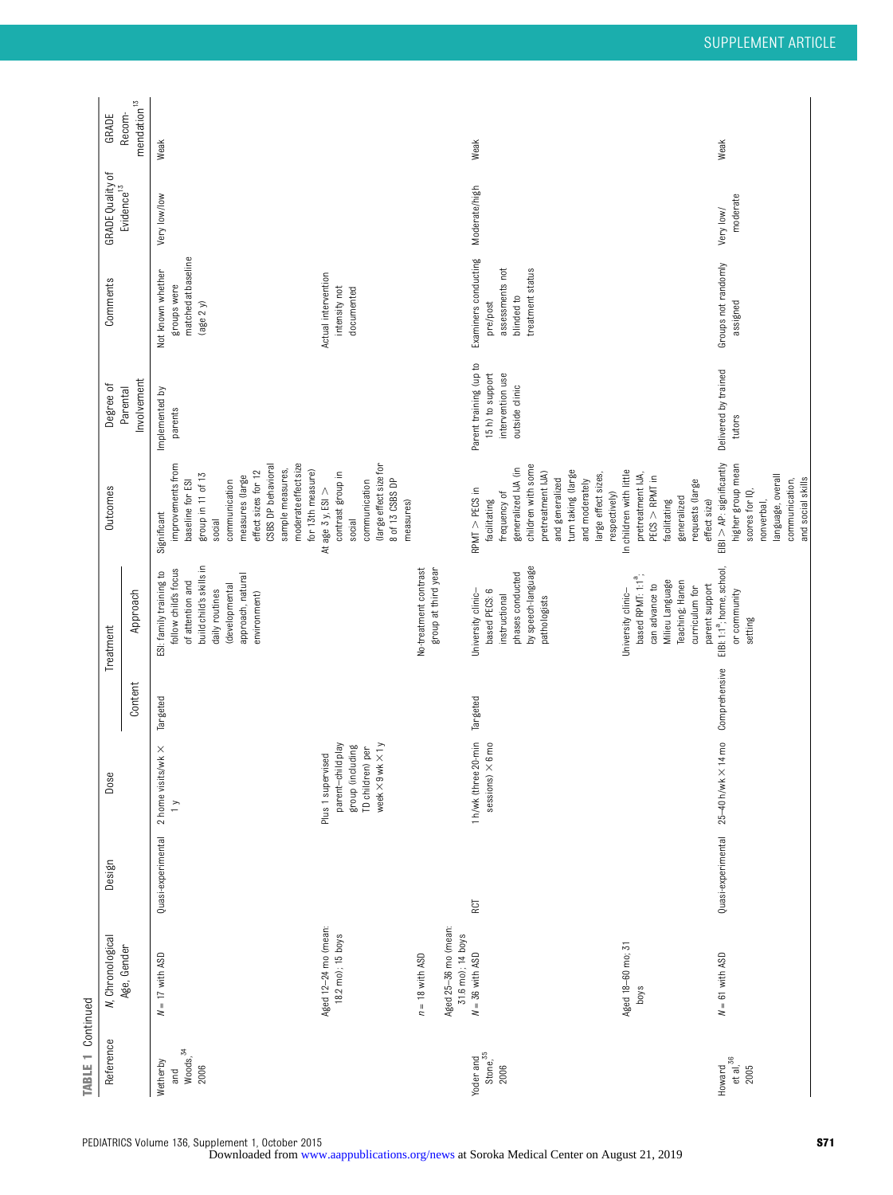| <b>TABLE 1 Continued</b>                        |                                                                |                    |                                                                                                                   |               |                                                                                                                                                                         |                                                                                                                                                                                                                                       |                                                                                  |                                                                                       |                         |                                  |
|-------------------------------------------------|----------------------------------------------------------------|--------------------|-------------------------------------------------------------------------------------------------------------------|---------------|-------------------------------------------------------------------------------------------------------------------------------------------------------------------------|---------------------------------------------------------------------------------------------------------------------------------------------------------------------------------------------------------------------------------------|----------------------------------------------------------------------------------|---------------------------------------------------------------------------------------|-------------------------|----------------------------------|
| Reference                                       | <b>N</b> , Chronological                                       | Design             | Dose                                                                                                              |               | Treatment                                                                                                                                                               | Outcomes                                                                                                                                                                                                                              | Degree of                                                                        | Comments                                                                              | <b>GRADE Quality of</b> | GRADE                            |
|                                                 | Age, Gender                                                    |                    |                                                                                                                   | Content       | Approach                                                                                                                                                                |                                                                                                                                                                                                                                       | Involvement<br>Parental                                                          |                                                                                       | Evidence $13$           | $\,$ mendation $^{13}$<br>Recom- |
| Woods, <sup>34</sup><br>Wetherby<br>2006<br>and | $N = 17$ with ASD                                              | Quasi-experimental | 2 home visits/wk $\times$<br>$\geq$                                                                               | Targeted      | build child's skills in<br>follow child's focus<br>ESI: family training to<br>approach, natural<br>of attention and<br>(developmental<br>daily routines<br>environment) | moderate effect size<br>improvements from<br>CSBS DP behavioral<br>sample measures,<br>for 13th measure)<br>effect sizes for 12<br>group in 11 of 13<br>measures (large<br>baseline for ESI<br>communication<br>Significant<br>social | Implemented by<br>parents                                                        | matched at baseline<br>Not known whether<br>groups were<br>(age 2 y)                  | Very low/low            | Weak                             |
|                                                 | Aged 12-24 mo (mean:<br>18.2 mo); 15 boys                      |                    | week $\times$ 9 wk $\times$ 1 y<br>parent-child play<br>group (including<br>TD children) per<br>Plus 1 supervised |               |                                                                                                                                                                         | (large effect size for<br>contrast group in<br>8 of 13 CSBS DP<br>communication<br>At age 3 y, ESI $>$<br>measures)<br>social                                                                                                         |                                                                                  | Actual intervention<br>intensity not<br>documented                                    |                         |                                  |
|                                                 | Aged 25-36 mo (mean:<br>31.6 mo); 14 boys<br>$n = 18$ with ASD |                    |                                                                                                                   |               | No-treatment contrast<br>group at third year                                                                                                                            |                                                                                                                                                                                                                                       |                                                                                  |                                                                                       |                         |                                  |
| Yoder and<br>Stone, 35<br>2006                  | $N = 36$ with ASD                                              | RCT                | 1 h/wk (three 20-min<br>$1 \times 6 \text{m0}$<br>sessions                                                        | Targeted      | by speech-language<br>phases conducted<br>based PECS: 6<br>University clinic-<br>instructional<br>pathologists                                                          | children with some<br>generalized IJA (in<br>turn taking (large<br>pretreatment IJA)<br>large effect sizes,<br>and generalized<br>and moderately<br>$RPMT > PECS$ in<br>respectively)<br>frequency of<br>facilitating                 | Parent training (up to<br>15 h) to support<br>intervention use<br>outside clinic | Examiners conducting<br>assessments not<br>treatment status<br>blinded to<br>pre/post | Moderate/high           | Weak                             |
|                                                 | Aged 18-60 mo; 31<br>boys                                      |                    |                                                                                                                   |               | based RPMT: 1:1 <sup>ª</sup> ;<br>Milieu Language<br>Teaching; Hanen<br>parent support<br>can advance to<br>curriculum for<br>University clinic-                        | In children with little<br>pretreatment IJA,<br>$PECS$ > $RPMT$ in<br>requests (large<br>generalized<br>facilitating<br>effect size)                                                                                                  |                                                                                  |                                                                                       |                         |                                  |
| et al, $36$<br>Howard<br>2005                   | $N = 61$ with ASD                                              | Quasi-experimental | 25-40 h/wk × 14 mo                                                                                                | Comprehensive | EIBI: 1:1 <sup>a</sup> ; home, school,<br>or community<br>setting                                                                                                       | $EIBI > AP$ : significantly<br>higher group mean<br>language, overall<br>and social skills<br>communication,<br>scores for IQ,<br>nonverbal,                                                                                          | Delivered by trained<br>tutors                                                   | Groups not randomly<br>assigned                                                       | moderate<br>Very low/   | Weak                             |

PEDIATRICS Volume 136, Supplement 1, October 2015<br>Downloaded from www.aappublications.org/news at Soroka Medical Center on August 21, 2019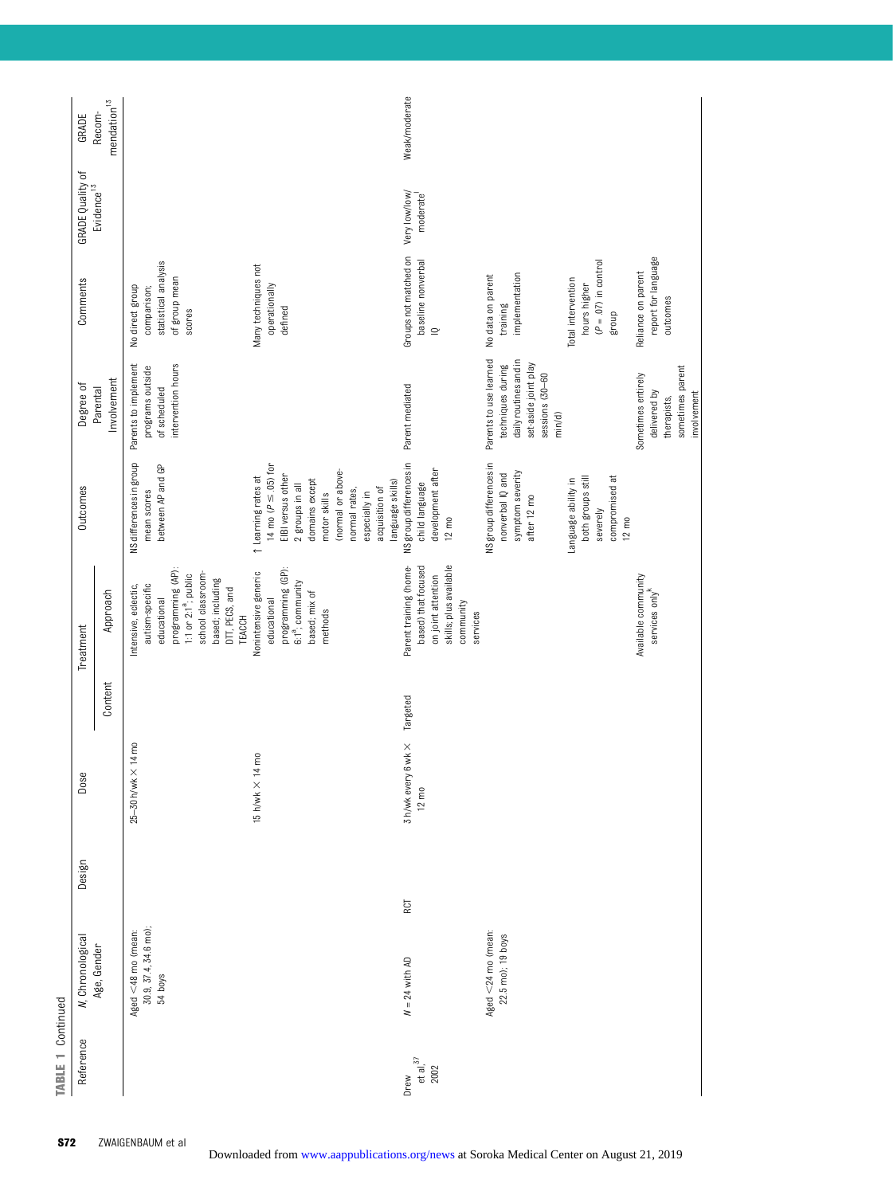| Reference                        | N, Chronological                                          | Design | Dose                                               |          | Treatment                                                                                                                                                                                   | Outcomes                                                                                                                                                                                                                 | Degree of                                                                                                                 | Comments                                                                          | GRADE Quality of          | GRADE                       |
|----------------------------------|-----------------------------------------------------------|--------|----------------------------------------------------|----------|---------------------------------------------------------------------------------------------------------------------------------------------------------------------------------------------|--------------------------------------------------------------------------------------------------------------------------------------------------------------------------------------------------------------------------|---------------------------------------------------------------------------------------------------------------------------|-----------------------------------------------------------------------------------|---------------------------|-----------------------------|
|                                  | Age, Gender                                               |        |                                                    | Content  | Approach                                                                                                                                                                                    |                                                                                                                                                                                                                          | Involvement<br>Parental                                                                                                   |                                                                                   | Evidence <sup>13</sup>    | $m$ endation $13$<br>Recom- |
|                                  | 30.9, 37.4, 34.6 mo);<br>Aged $<$ 48 mo (mean:<br>54 boys |        | $\times$ 14 mo<br>25-30 h/wk                       |          | programming (AP):<br>school classroom-<br>1:1 or 2:1 <sup>a</sup> ; public<br>based; including<br>Intensive, eclectic,<br>autism-specific<br>DTT, PECS, and<br>educational<br><b>TEACCH</b> | NS differences in group<br>between AP and GP<br>mean scores                                                                                                                                                              | intervention hours<br>Parents to implement<br>programs outside<br>of scheduled                                            | statistical analysis<br>of group mean<br>No direct group<br>comparison;<br>scores |                           |                             |
|                                  |                                                           |        | $14 \text{ m0}$<br>15 h/wk $\times$                |          | programming (GP):<br>Nonintensive generic<br>6:1 <sup>a</sup> ; community<br>based; mix of<br>educational<br>methods                                                                        | 14 mo ( $P \leq .05$ ) for<br>(normal or above-<br>EIBI versus other<br>t Learning rates at<br>domains except<br>language skills)<br>2 groups in all<br>acquisition of<br>normal rates,<br>motor skills<br>especially in |                                                                                                                           | Many techniques not<br>operationally<br>defined                                   |                           |                             |
| et al, $\frac{37}{2002}$<br>Drew | RCT<br>$N = 24$ with AD                                   |        | $6$ wk $\times$<br>3 h/wk every<br>$12 \text{ mo}$ | Targeted | skills; plus available<br>based) that focused<br>Parent training (home-<br>on joint attention<br>community<br>services                                                                      | NS group differences in<br>development after<br>child language<br>$12 \text{ mo}$                                                                                                                                        | Parent mediated                                                                                                           | Groups not matched on<br>baseline nonverbal<br>$\supseteq$                        | Very low/low/<br>moderate | Weak/moderate               |
|                                  | Aged $<$ 24 mo (mean:<br>22.5 mo); 19 boys                |        |                                                    |          |                                                                                                                                                                                             | NS group differences in<br>symptom severity<br>nonverbal IQ and<br>after 12 mo                                                                                                                                           | Parents to use learned<br>daily routines and in<br>set-aside joint play<br>techniques during<br>sessions (30-60<br>min/d) | implementation<br>No data on parent<br>training                                   |                           |                             |
|                                  |                                                           |        |                                                    |          |                                                                                                                                                                                             | both groups still<br>compromised at<br>Language ability in<br>severely<br>$12 \text{ mo}$                                                                                                                                |                                                                                                                           | $(P = .07)$ in control<br>Total intervention<br>hours higher<br>group             |                           |                             |
|                                  |                                                           |        |                                                    |          | Available community<br>services only <sup>k</sup>                                                                                                                                           |                                                                                                                                                                                                                          | sometimes parent<br>Sometimes entirely<br>delivered by<br>involvement<br>therapists,                                      | report for language<br>Reliance on parent<br>outcomes                             |                           |                             |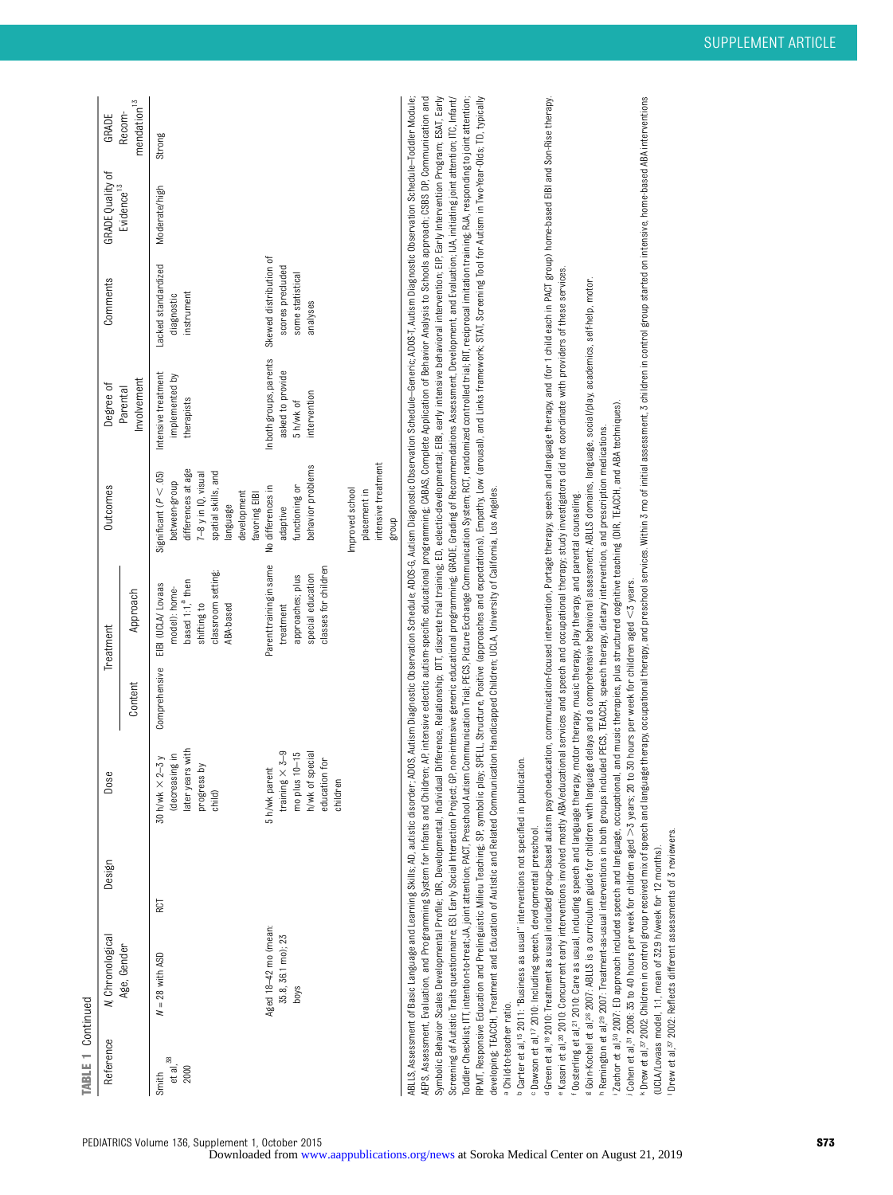TABLE 1 Continued TABLE 1 Continued

| Reference                    | N, Chronological                                   | Design | Dose                                                                                                       |         | Treatment                                                                                                                          | <b>Outcomes</b>                                                                                                                                              | Degree of                                                                | Comments                                                                   | <b>GRADE Quality of</b> | GRADE                             |
|------------------------------|----------------------------------------------------|--------|------------------------------------------------------------------------------------------------------------|---------|------------------------------------------------------------------------------------------------------------------------------------|--------------------------------------------------------------------------------------------------------------------------------------------------------------|--------------------------------------------------------------------------|----------------------------------------------------------------------------|-------------------------|-----------------------------------|
|                              | Age, Gender                                        |        |                                                                                                            | Content | Approach                                                                                                                           |                                                                                                                                                              | Involvement<br>Parental                                                  |                                                                            | Evidence <sup>13</sup>  | mendation <sup>13</sup><br>Recom- |
| et al, $38$<br>2000<br>Smith | $N = 28$ with ASD                                  | RCT    | later years with<br>(decreasing in<br>$2-3y$<br>progress by<br>child)<br>30 h/wk ×                         |         | classroom setting<br>based 1:1, <sup>a</sup> then<br>Comprehensive EIBI (UCLA/ Lovaas<br>model): home-<br>shifting to<br>ABA-based | differences at age<br>Significant ( $P < .05$ )<br>$7-8$ y in IQ, visual<br>spatial skills, and<br>between-group<br>development<br>favoring EIBI<br>language | Intensive treatment<br>implemented by<br>therapists                      | Lacked standardized<br>instrument<br>diagnostic                            | Moderate/high           | Strong                            |
|                              | Aged 18-42 mo (mean:<br>35.8, 36.1 mo); 23<br>boys |        | training $\times$ 3-9<br>special<br>mo plus 10-15<br>education for<br>5 h/wk parent<br>h/wk of<br>childrer |         | Parent training in same<br>classes for children<br>special education<br>approaches; plus<br>treatment                              | intensive treatment<br>behavior problems<br>functioning or<br>No differences in<br>Improved school<br>placement in<br>adaptive<br>dnoug                      | In both groups, parents<br>asked to provide<br>intervention<br>5 h/wk of | Skewed distribution of<br>scores precluded<br>some statistical<br>analyses |                         |                                   |

AEPS, Assessment, Evaluation, and Programming System for Infants and Children; AP, intensive eclectic autism-specific educational programming, CABAS, Complete Application of Behavior Analysis to Schools approach; CSBS DP, Symbolic Behavior Scales Developmental Profile; DIR, Developmental, Individual Difference, Relationship; DT, discrete trial traning; ED, eclectic-developmental; EDI, early interval intervention; EIP, Early Intervention Pro Screening of Autistic Traits questionnaire; ESI, Eerly Social Interaction Project; GP, non-intensive generic educational programming; GRADE, Grading of Recommendations Assessment, Development, and Evaluation; JUA, initiati RPMT, Responsive Education and Prelinguistic Milieu Teaching; SP, symbolic play, SPELL, Structure, Positive (approaches and expectations), Empathy, Low (arousal), and Links framework; STAT, Screening Tool for Autism in Two ABLLS, Assessment of Basic Language and Learning Skills, AD, autistic disorder; ADOS, Autism Diagnostion; ADOS-R, Autism Diagnostic Observation Schedule–Generic; ADOS-T, Autism Diagnostic Observation Schedule–Tearning Sche ABLLS, Assessment of Basic Learning Skills, AD, autistic disorder; AD, Observation Dagnostic Observation Schedule; Autism Diagnostic Observation Schedule-Mold-Mostic Observation Schedule-Modler Module, Auto Schedule-Modler AEPS, Assessment, Evaluation, and Programming System for Infants and Children; AP, intensive eclectic autism-specific educational programming. CABAS, Complied Application of Behavior Analysis to Schools approach, CSBS DP, Symbolic Behavior Scales DRvelopmental Profile; DRvelopmental, Individual Difference, Relationship; DTI, discrete trial traning; ED, sclectic-developmental; EBI, early intensive behavioral intervention; EIP, Early Interven Screening of Autistic Traits questionnaire; ESI, Early Social Interaction Project; GP, on-intensive generic advantage of Grading of Recommendations Assessment, Development, and Evaluation; UA, initiating joint attention; I Todder Checklist, ITT, intention-treat; JA, joint attention; PACT, Preschool Autism Comunication Trial; PECS, Picture Exchange Communication System; RCT, readomized controlled trial; RIT, reciprocal imitation training; RJA Toddler Checklist, ITT, intention-to-treat; JA, joint attention; PACT, Presschool Autism Communication Trial; PECS, Picture Exchange Communication, RIT, randomized controlled trial; RIT, recoprocal imitation training; RJA, RPMT, Responsive Education and Prelinguistic Milieu Teaching, SP, Symbolic play, SPELL, Structure, Positive (approaches and expectations), Empathy, Low (arousal), and Links framework; STAT, Screening Too for Autism in Twodeveloping, TEACCH, Treatment and Education of Autistic and Related Communication Handicapped Children; UCLA, University of California, Los Angeles. developing; TEACCH, Treatment and Education of Autistic and Related Communication Handicapped Children; UCLA, University of California, Los Angeles. a Child-to-teacher ratio. Child-to-teacher ratio.

<sup>b</sup> Carter et al,<sup>15</sup> 2011: "Business as usual" interventions not specified in publication. Carter et al,15 2011: "Business as usual" interventions not specified in publication.

c Dawson et al,<sup>17</sup> 2010: Including speech, developmental preschool. Dawson et al,17 2010: Including speech, developmental preschool.

<sup>d</sup> Green ot a i.18 2010. Treatment as usual included group-based autism psychoeducation, communication-focused intervention, Portage therapy, speech and language therapy, and (for 1 child each in PACT group) home-based EI <sup>a G</sup>reen et a I.<sup>18</sup> 2010: Treatment as usual included group-based autism psychoeducation, communication-focused intervention, Portage therapy, speech and language therapy, and for 1 child each in PACT group) home-based E r Kasari et al.20 2010: Concurrent early interventions involved mostly ABA/educational services and speech and occupational therapy; study investigators did not coordinate with providers of these services. e Kasari et al,20 2010: Concurrent early interventions involved mostly ABA/educational services and speech and occupational therapy; study investigators did not coordinate with providers of these services.

Oosterling et al.21 2010: Care as usual, including speech and language therapy, motor therapy, music therapy, play therapy, and parental counseling. Oosterling et al,21 2010: Care as usual, including speech and language therapy, motor therapy, music therapy, play therapy, and parental counseling.

: Goin-Kochel et al.28 2007: ABLLS is a curriculum guide for children with language delays and a comprehensive behavioral assessment. ABLLS domains, language, social/play, academics, self-help, motor. e Goin-Kochel et al,26 2007: ABLLS is a curriculum guide for children with language delays and a comprehensive behavioral assessment; ABLLS domains, language, social/play, academics, self-help, motor.

Remington et al.<sup>39</sup> 2007: Treatment-as-usual interventions in both groups included PECS, TEACCH, speech therapy, dietary intervention, and prescription medications Remington et al,29 2007: Treatment-as-usual interventions in both groups included PECS, TEACCH, speech therapy, dietary intervention, and prescription medications.

Zachor et al.30 2007: ED approach included speech and language, occupational, and music therapies, plus structured cognitive teaching (DIR, TEACCH, and ABA techniques) Zachor et al,30 2007: ED approach included speech and language, occupational, and music therapies, plus structured cognitive teaching (DIR, TEACCH, and ABA techniques).

j Cohen et al,31 2006: 35 to 40 hours per week for children aged .3 years; 20 to 30 hours per week for children aged Cohen et al,<sup>51</sup> 2006: 35 to 40 hours per week for children aged  $>$ 3 years; 20 to 30 hours per week for children aged <3 years. . Drew et al,<sup>37</sup> 2002: Children in control group received mix of speech and language therapy, cocupational therapy, and preschool services. Within 3 mo of initial assessment, 3 children in control group started on intensi \* Drew et al.<sup>57</sup> 2002: Children in control group received mix of speech and language therapy, occupational therapy, and preschod services. Within 3 mo of initial assessment, 3 children in control group started on intensiv (UCLA/Lovaas model, 1:1, mean of 32.9 h/week for 12 months). (UCLA/Lovaas model, 1:1, mean of 32.9 h/week for 12 months).

Drew et al, 37 2002: Reflects different assessments of 3 reviewers. Drew et al,37 2002: Reflects different assessments of 3 reviewers.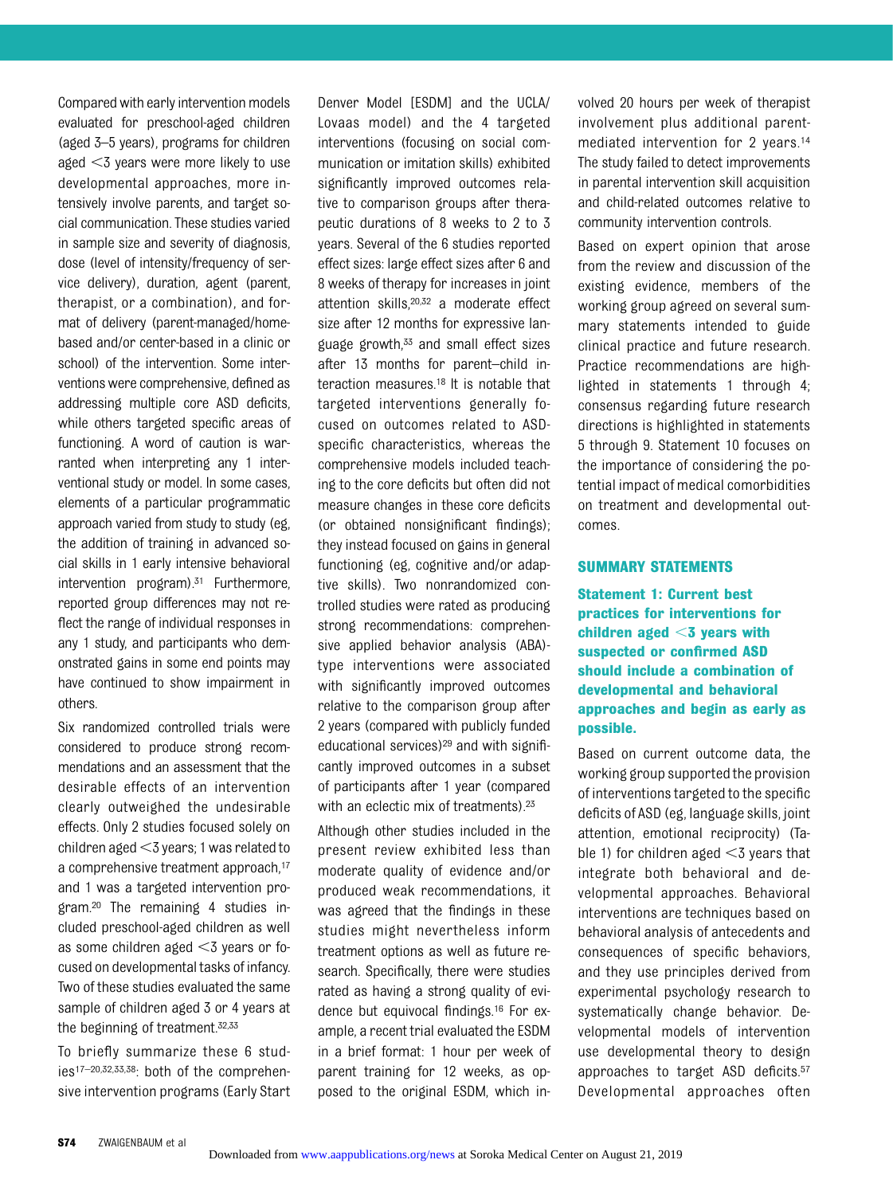Compared with early intervention models evaluated for preschool-aged children (aged 3–5 years), programs for children aged  $<$ 3 years were more likely to use developmental approaches, more intensively involve parents, and target social communication. These studies varied in sample size and severity of diagnosis, dose (level of intensity/frequency of service delivery), duration, agent (parent, therapist, or a combination), and format of delivery (parent-managed/homebased and/or center-based in a clinic or school) of the intervention. Some interventions were comprehensive, defined as addressing multiple core ASD deficits, while others targeted specific areas of functioning. A word of caution is warranted when interpreting any 1 interventional study or model. In some cases, elements of a particular programmatic approach varied from study to study (eg, the addition of training in advanced social skills in 1 early intensive behavioral intervention  $program)^{31}$  Furthermore, reported group differences may not reflect the range of individual responses in any 1 study, and participants who demonstrated gains in some end points may have continued to show impairment in others.

Six randomized controlled trials were considered to produce strong recommendations and an assessment that the desirable effects of an intervention clearly outweighed the undesirable effects. Only 2 studies focused solely on children aged  $<$ 3 years; 1 was related to a comprehensive treatment approach,<sup>17</sup> and 1 was a targeted intervention program.20 The remaining 4 studies included preschool-aged children as well as some children aged  $<$ 3 years or focused on developmental tasks of infancy. Two of these studies evaluated the same sample of children aged 3 or 4 years at the beginning of treatment.32,33

To briefly summarize these 6 studies17–20,32,33,38: both of the comprehensive intervention programs (Early Start

Denver Model [ESDM] and the UCLA/ Lovaas model) and the 4 targeted interventions (focusing on social communication or imitation skills) exhibited significantly improved outcomes relative to comparison groups after therapeutic durations of 8 weeks to 2 to 3 years. Several of the 6 studies reported effect sizes: large effect sizes after 6 and 8 weeks of therapy for increases in joint attention skills,20,32 a moderate effect size after 12 months for expressive language growth,<sup>33</sup> and small effect sizes after 13 months for parent–child interaction measures.18 It is notable that targeted interventions generally focused on outcomes related to ASDspecific characteristics, whereas the comprehensive models included teaching to the core deficits but often did not measure changes in these core deficits (or obtained nonsignificant findings); they instead focused on gains in general functioning (eg, cognitive and/or adaptive skills). Two nonrandomized controlled studies were rated as producing strong recommendations: comprehensive applied behavior analysis (ABA) type interventions were associated with significantly improved outcomes relative to the comparison group after 2 years (compared with publicly funded educational services)<sup>29</sup> and with significantly improved outcomes in a subset of participants after 1 year (compared with an eclectic mix of treatments).<sup>23</sup>

Although other studies included in the present review exhibited less than moderate quality of evidence and/or produced weak recommendations, it was agreed that the findings in these studies might nevertheless inform treatment options as well as future research. Specifically, there were studies rated as having a strong quality of evidence but equivocal findings.16 For example, a recent trial evaluated the ESDM in a brief format: 1 hour per week of parent training for 12 weeks, as opposed to the original ESDM, which involved 20 hours per week of therapist involvement plus additional parentmediated intervention for 2 years.14 The study failed to detect improvements in parental intervention skill acquisition and child-related outcomes relative to community intervention controls.

Based on expert opinion that arose from the review and discussion of the existing evidence, members of the working group agreed on several summary statements intended to guide clinical practice and future research. Practice recommendations are highlighted in statements 1 through 4; consensus regarding future research directions is highlighted in statements 5 through 9. Statement 10 focuses on the importance of considering the potential impact of medical comorbidities on treatment and developmental outcomes.

#### SUMMARY STATEMENTS

Statement 1: Current best practices for interventions for children aged  $<$ 3 years with suspected or confirmed ASD should include a combination of developmental and behavioral approaches and begin as early as possible.

Based on current outcome data, the working group supported the provision of interventions targeted to the specific deficits of ASD (eg, language skills, joint attention, emotional reciprocity) (Table 1) for children aged  $<$ 3 years that integrate both behavioral and developmental approaches. Behavioral interventions are techniques based on behavioral analysis of antecedents and consequences of specific behaviors, and they use principles derived from experimental psychology research to systematically change behavior. Developmental models of intervention use developmental theory to design approaches to target ASD deficits.57 Developmental approaches often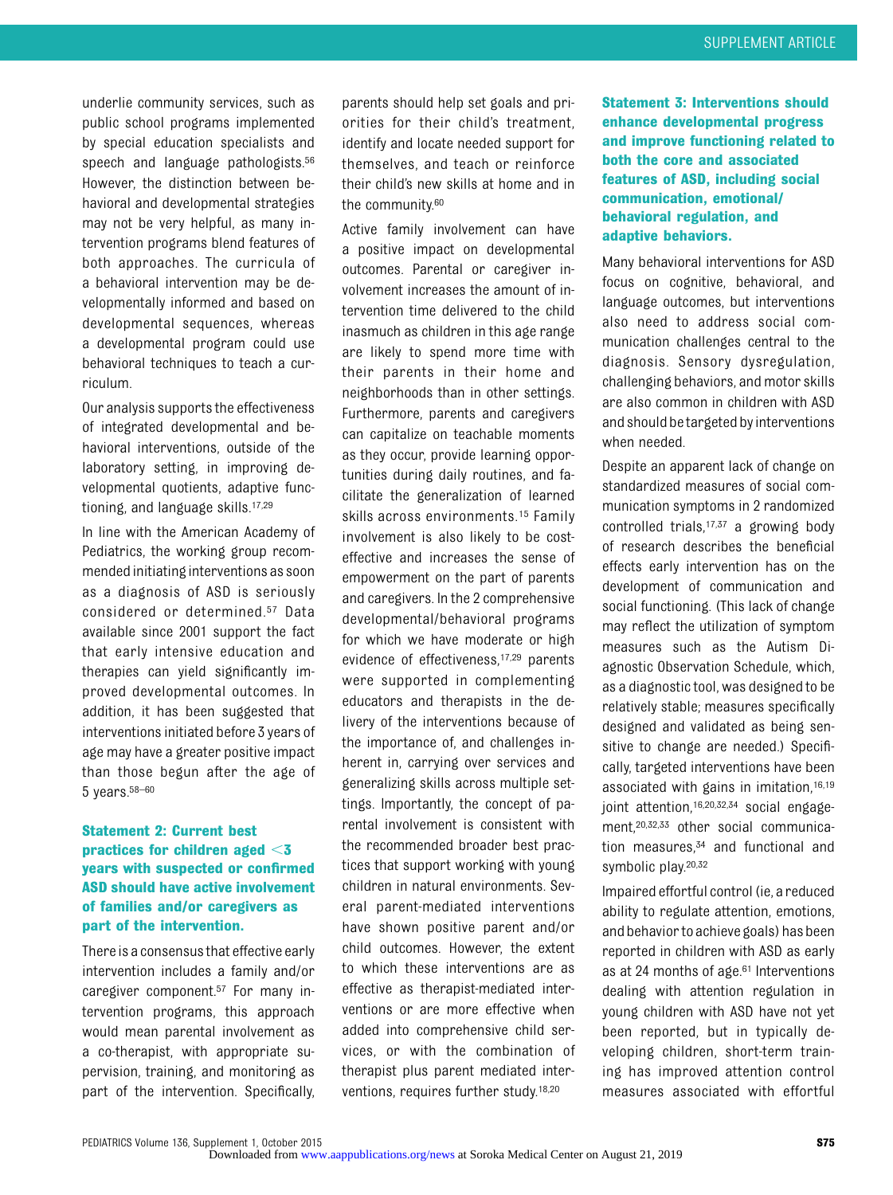underlie community services, such as public school programs implemented by special education specialists and speech and language pathologists.<sup>56</sup> However, the distinction between behavioral and developmental strategies may not be very helpful, as many intervention programs blend features of both approaches. The curricula of a behavioral intervention may be developmentally informed and based on developmental sequences, whereas a developmental program could use behavioral techniques to teach a curriculum.

Our analysis supports the effectiveness of integrated developmental and behavioral interventions, outside of the laboratory setting, in improving developmental quotients, adaptive functioning, and language skills.17,29

In line with the American Academy of Pediatrics, the working group recommended initiating interventions as soon as a diagnosis of ASD is seriously considered or determined.57 Data available since 2001 support the fact that early intensive education and therapies can yield significantly improved developmental outcomes. In addition, it has been suggested that interventions initiated before 3 years of age may have a greater positive impact than those begun after the age of 5 years.58–<sup>60</sup>

#### Statement 2: Current best practices for children aged  $<$ 3 years with suspected or confirmed ASD should have active involvement of families and/or caregivers as part of the intervention.

There is a consensusthat effective early intervention includes a family and/or caregiver component.57 For many intervention programs, this approach would mean parental involvement as a co-therapist, with appropriate supervision, training, and monitoring as part of the intervention. Specifically,

parents should help set goals and priorities for their child's treatment, identify and locate needed support for themselves, and teach or reinforce their child's new skills at home and in the community.60

Active family involvement can have a positive impact on developmental outcomes. Parental or caregiver involvement increases the amount of intervention time delivered to the child inasmuch as children in this age range are likely to spend more time with their parents in their home and neighborhoods than in other settings. Furthermore, parents and caregivers can capitalize on teachable moments as they occur, provide learning opportunities during daily routines, and facilitate the generalization of learned skills across environments.15 Family involvement is also likely to be costeffective and increases the sense of empowerment on the part of parents and caregivers. In the 2 comprehensive developmental/behavioral programs for which we have moderate or high evidence of effectiveness,17,29 parents were supported in complementing educators and therapists in the delivery of the interventions because of the importance of, and challenges inherent in, carrying over services and generalizing skills across multiple settings. Importantly, the concept of parental involvement is consistent with the recommended broader best practices that support working with young children in natural environments. Several parent-mediated interventions have shown positive parent and/or child outcomes. However, the extent to which these interventions are as effective as therapist-mediated interventions or are more effective when added into comprehensive child services, or with the combination of therapist plus parent mediated interventions, requires further study.18,20

Statement 3: Interventions should enhance developmental progress and improve functioning related to both the core and associated features of ASD, including social communication, emotional/ behavioral regulation, and adaptive behaviors.

Many behavioral interventions for ASD focus on cognitive, behavioral, and language outcomes, but interventions also need to address social communication challenges central to the diagnosis. Sensory dysregulation, challenging behaviors, and motor skills are also common in children with ASD and should betargeted by interventions when needed.

Despite an apparent lack of change on standardized measures of social communication symptoms in 2 randomized controlled trials,17,37 a growing body of research describes the beneficial effects early intervention has on the development of communication and social functioning. (This lack of change may reflect the utilization of symptom measures such as the Autism Diagnostic Observation Schedule, which, as a diagnostic tool, was designed to be relatively stable; measures specifically designed and validated as being sensitive to change are needed.) Specifically, targeted interventions have been associated with gains in imitation,16,19 joint attention,<sup>16,20,32,34</sup> social engagement,20,32,33 other social communication measures,<sup>34</sup> and functional and symbolic play.<sup>20,32</sup>

Impaired effortful control (ie, a reduced ability to regulate attention, emotions, and behavior to achieve goals) has been reported in children with ASD as early as at 24 months of age.<sup>61</sup> Interventions dealing with attention regulation in young children with ASD have not yet been reported, but in typically developing children, short-term training has improved attention control measures associated with effortful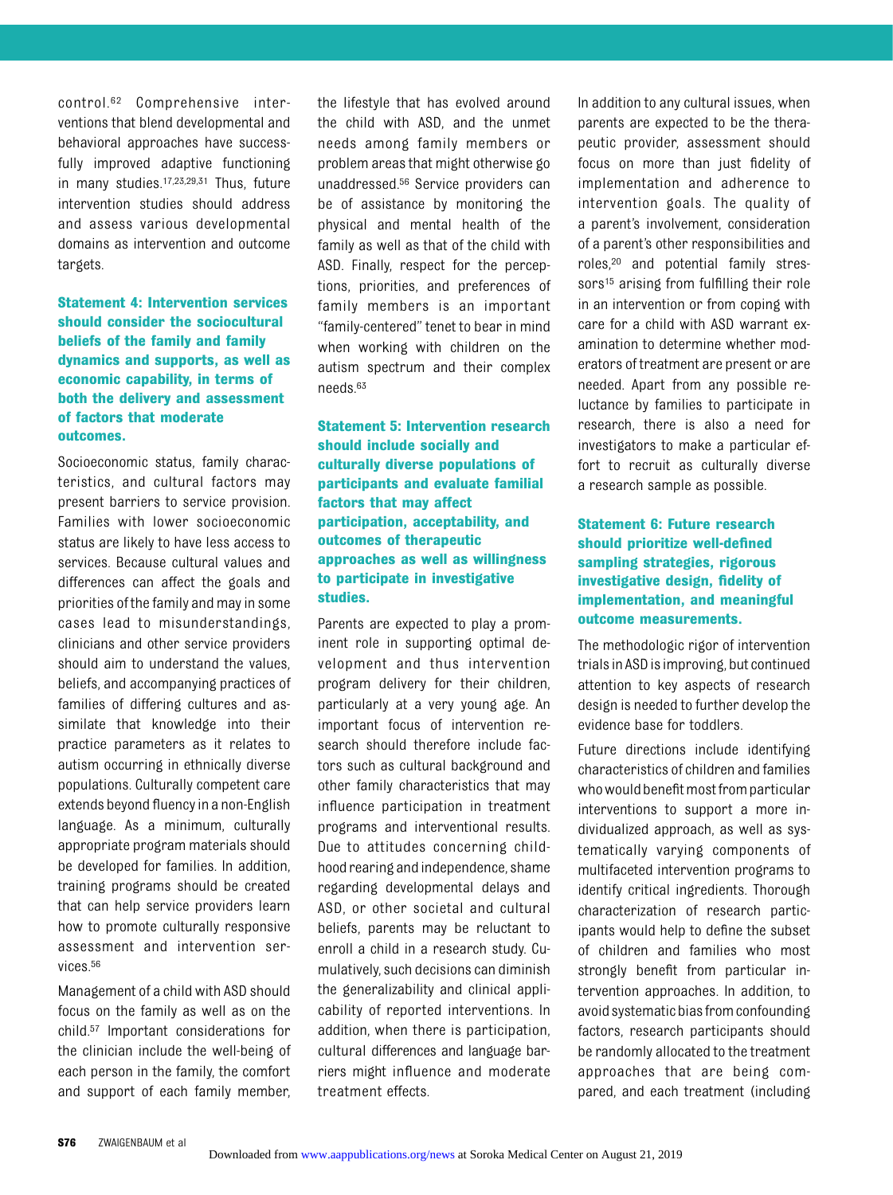control.62 Comprehensive interventions that blend developmental and behavioral approaches have successfully improved adaptive functioning in many studies.17,23,29,31 Thus, future intervention studies should address and assess various developmental domains as intervention and outcome targets.

#### Statement 4: Intervention services should consider the sociocultural beliefs of the family and family dynamics and supports, as well as economic capability, in terms of both the delivery and assessment of factors that moderate outcomes.

Socioeconomic status, family characteristics, and cultural factors may present barriers to service provision. Families with lower socioeconomic status are likely to have less access to services. Because cultural values and differences can affect the goals and priorities of the family and may in some cases lead to misunderstandings, clinicians and other service providers should aim to understand the values, beliefs, and accompanying practices of families of differing cultures and assimilate that knowledge into their practice parameters as it relates to autism occurring in ethnically diverse populations. Culturally competent care extends beyond fluency in a non-English language. As a minimum, culturally appropriate program materials should be developed for families. In addition, training programs should be created that can help service providers learn how to promote culturally responsive assessment and intervention services.56

Management of a child with ASD should focus on the family as well as on the child.57 Important considerations for the clinician include the well-being of each person in the family, the comfort and support of each family member, the lifestyle that has evolved around the child with ASD, and the unmet needs among family members or problem areas that might otherwise go unaddressed.56 Service providers can be of assistance by monitoring the physical and mental health of the family as well as that of the child with ASD. Finally, respect for the perceptions, priorities, and preferences of family members is an important "family-centered" tenet to bear in mind when working with children on the autism spectrum and their complex needs.63

Statement 5: Intervention research should include socially and culturally diverse populations of participants and evaluate familial factors that may affect participation, acceptability, and outcomes of therapeutic approaches as well as willingness to participate in investigative studies.

Parents are expected to play a prominent role in supporting optimal development and thus intervention program delivery for their children, particularly at a very young age. An important focus of intervention research should therefore include factors such as cultural background and other family characteristics that may influence participation in treatment programs and interventional results. Due to attitudes concerning childhood rearing and independence, shame regarding developmental delays and ASD, or other societal and cultural beliefs, parents may be reluctant to enroll a child in a research study. Cumulatively, such decisions can diminish the generalizability and clinical applicability of reported interventions. In addition, when there is participation, cultural differences and language barriers might influence and moderate treatment effects.

In addition to any cultural issues, when parents are expected to be the therapeutic provider, assessment should focus on more than just fidelity of implementation and adherence to intervention goals. The quality of a parent's involvement, consideration of a parent's other responsibilities and roles,20 and potential family stressors<sup>15</sup> arising from fulfilling their role in an intervention or from coping with care for a child with ASD warrant examination to determine whether moderators of treatment are present or are needed. Apart from any possible reluctance by families to participate in research, there is also a need for investigators to make a particular effort to recruit as culturally diverse a research sample as possible.

#### Statement 6: Future research should prioritize well-defined sampling strategies, rigorous investigative design, fidelity of implementation, and meaningful outcome measurements.

The methodologic rigor of intervention trials in ASD is improving, but continued attention to key aspects of research design is needed to further develop the evidence base for toddlers.

Future directions include identifying characteristics of children and families who would benefit most from particular interventions to support a more individualized approach, as well as systematically varying components of multifaceted intervention programs to identify critical ingredients. Thorough characterization of research participants would help to define the subset of children and families who most strongly benefit from particular intervention approaches. In addition, to avoid systematicbiasfrom confounding factors, research participants should be randomly allocated to the treatment approaches that are being compared, and each treatment (including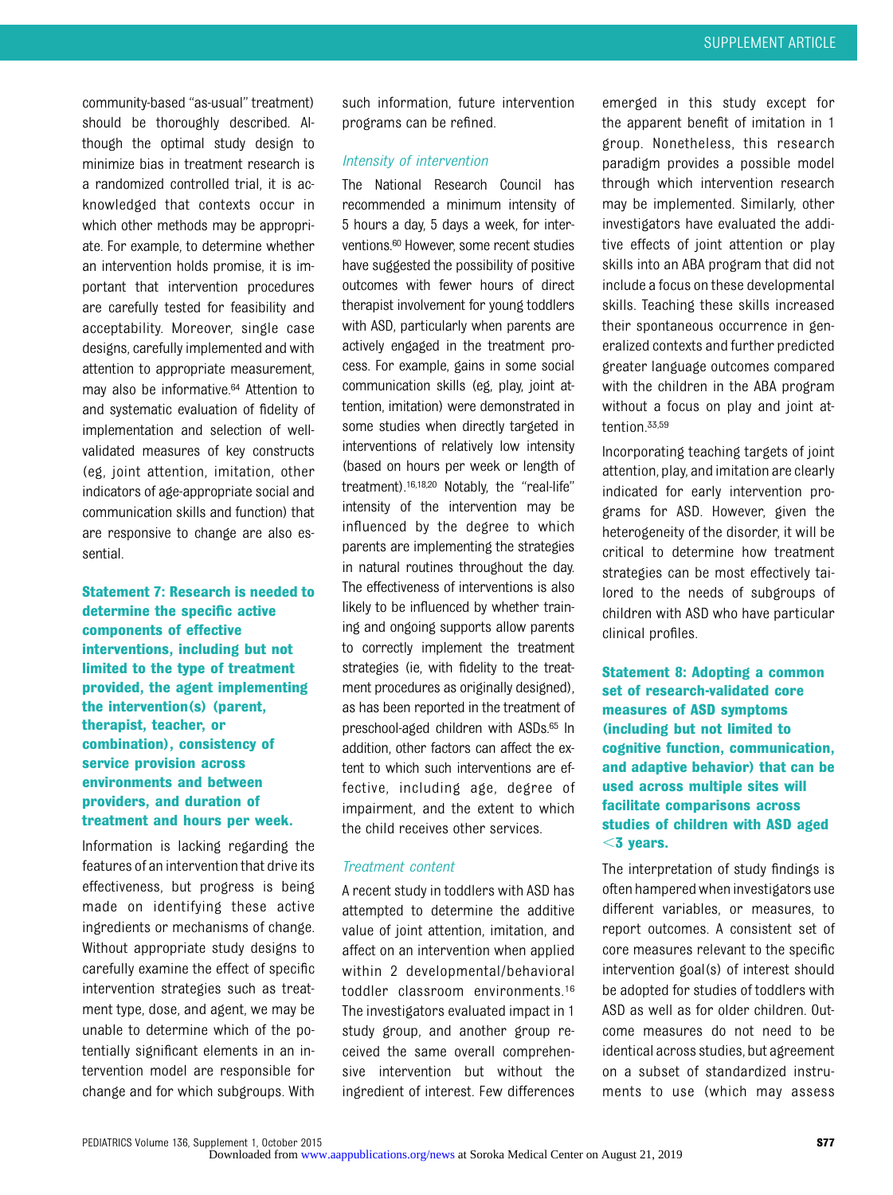community-based "as-usual" treatment) should be thoroughly described. Although the optimal study design to minimize bias in treatment research is a randomized controlled trial, it is acknowledged that contexts occur in which other methods may be appropriate. For example, to determine whether an intervention holds promise, it is important that intervention procedures are carefully tested for feasibility and acceptability. Moreover, single case designs, carefully implemented and with attention to appropriate measurement, may also be informative.64 Attention to and systematic evaluation of fidelity of implementation and selection of wellvalidated measures of key constructs (eg, joint attention, imitation, other indicators of age-appropriate social and communication skills and function) that are responsive to change are also essential.

Statement 7: Research is needed to determine the specific active components of effective interventions, including but not limited to the type of treatment provided, the agent implementing the intervention(s) (parent, therapist, teacher, or combination), consistency of service provision across environments and between providers, and duration of treatment and hours per week.

Information is lacking regarding the features of an intervention that drive its effectiveness, but progress is being made on identifying these active ingredients or mechanisms of change. Without appropriate study designs to carefully examine the effect of specific intervention strategies such as treatment type, dose, and agent, we may be unable to determine which of the potentially significant elements in an intervention model are responsible for change and for which subgroups. With such information, future intervention programs can be refined.

#### Intensity of intervention

The National Research Council has recommended a minimum intensity of 5 hours a day, 5 days a week, for interventions.<sup>60</sup> However, some recent studies have suggested the possibility of positive outcomes with fewer hours of direct therapist involvement for young toddlers with ASD, particularly when parents are actively engaged in the treatment process. For example, gains in some social communication skills (eg, play, joint attention, imitation) were demonstrated in some studies when directly targeted in interventions of relatively low intensity (based on hours per week or length of treatment).16,18,20 Notably, the "real-life" intensity of the intervention may be influenced by the degree to which parents are implementing the strategies in natural routines throughout the day. The effectiveness of interventions is also likely to be influenced by whether training and ongoing supports allow parents to correctly implement the treatment strategies (ie, with fidelity to the treatment procedures as originally designed), as has been reported in the treatment of preschool-aged children with ASDs.<sup>65</sup> In addition, other factors can affect the extent to which such interventions are effective, including age, degree of impairment, and the extent to which the child receives other services.

#### Treatment content

A recent study in toddlers with ASD has attempted to determine the additive value of joint attention, imitation, and affect on an intervention when applied within 2 developmental/behavioral toddler classroom environments.16 The investigators evaluated impact in 1 study group, and another group received the same overall comprehensive intervention but without the ingredient of interest. Few differences

emerged in this study except for the apparent benefit of imitation in 1 group. Nonetheless, this research paradigm provides a possible model through which intervention research may be implemented. Similarly, other investigators have evaluated the additive effects of joint attention or play skills into an ABA program that did not include a focus on these developmental skills. Teaching these skills increased their spontaneous occurrence in generalized contexts and further predicted greater language outcomes compared with the children in the ABA program without a focus on play and joint attention.33,59

Incorporating teaching targets of joint attention, play, and imitation are clearly indicated for early intervention programs for ASD. However, given the heterogeneity of the disorder, it will be critical to determine how treatment strategies can be most effectively tailored to the needs of subgroups of children with ASD who have particular clinical profiles.

Statement 8: Adopting a common set of research-validated core measures of ASD symptoms (including but not limited to cognitive function, communication, and adaptive behavior) that can be used across multiple sites will facilitate comparisons across studies of children with ASD aged  $<$ 3 years.

The interpretation of study findings is often hampered when investigators use different variables, or measures, to report outcomes. A consistent set of core measures relevant to the specific intervention goal(s) of interest should be adopted for studies of toddlers with ASD as well as for older children. Outcome measures do not need to be identical across studies, but agreement on a subset of standardized instruments to use (which may assess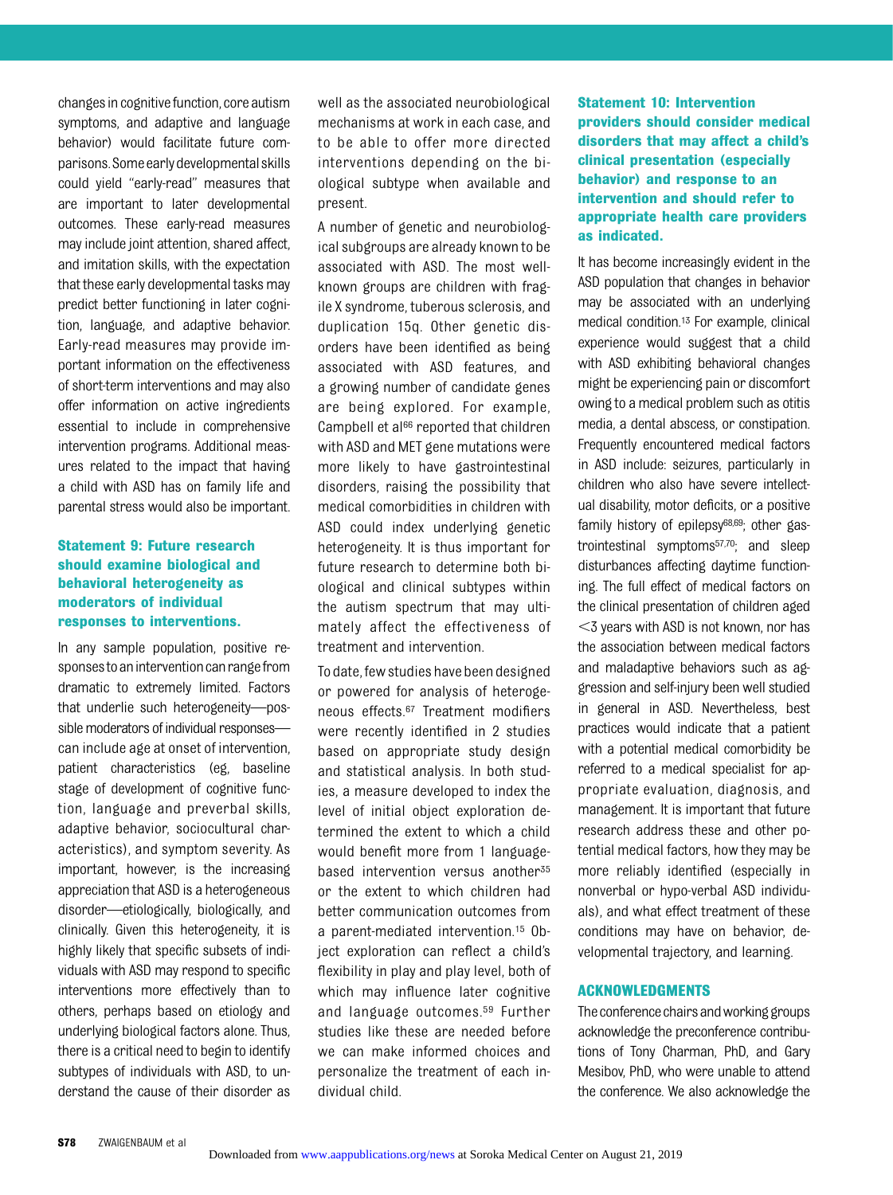changes in cognitive function, core autism symptoms, and adaptive and language behavior) would facilitate future comparisons.Someearlydevelopmentalskills could yield "early-read" measures that are important to later developmental outcomes. These early-read measures may include joint attention, shared affect, and imitation skills, with the expectation that these early developmental tasks may predict better functioning in later cognition, language, and adaptive behavior. Early-read measures may provide important information on the effectiveness of short-term interventions and may also offer information on active ingredients essential to include in comprehensive intervention programs. Additional measures related to the impact that having a child with ASD has on family life and parental stress would also be important.

#### Statement 9: Future research should examine biological and behavioral heterogeneity as moderators of individual responses to interventions.

In any sample population, positive responsestoaninterventioncanrangefrom dramatic to extremely limited. Factors that underlie such heterogeneity—possible moderators of individual responses can include age at onset of intervention, patient characteristics (eg, baseline stage of development of cognitive function, language and preverbal skills, adaptive behavior, sociocultural characteristics), and symptom severity. As important, however, is the increasing appreciation that ASD is a heterogeneous disorder—etiologically, biologically, and clinically. Given this heterogeneity, it is highly likely that specific subsets of individuals with ASD may respond to specific interventions more effectively than to others, perhaps based on etiology and underlying biological factors alone. Thus, there is a critical need to begin to identify subtypes of individuals with ASD, to understand the cause of their disorder as

well as the associated neurobiological mechanisms at work in each case, and to be able to offer more directed interventions depending on the biological subtype when available and present.

A number of genetic and neurobiological subgroups are already known to be associated with ASD. The most wellknown groups are children with fragile X syndrome, tuberous sclerosis, and duplication 15q. Other genetic disorders have been identified as being associated with ASD features, and a growing number of candidate genes are being explored. For example, Campbell et al<sup>66</sup> reported that children with ASD and MET gene mutations were more likely to have gastrointestinal disorders, raising the possibility that medical comorbidities in children with ASD could index underlying genetic heterogeneity. It is thus important for future research to determine both biological and clinical subtypes within the autism spectrum that may ultimately affect the effectiveness of treatment and intervention.

To date, few studies have been designed or powered for analysis of heterogeneous effects.67 Treatment modifiers were recently identified in 2 studies based on appropriate study design and statistical analysis. In both studies, a measure developed to index the level of initial object exploration determined the extent to which a child would benefit more from 1 languagebased intervention versus another<sup>35</sup> or the extent to which children had better communication outcomes from a parent-mediated intervention.15 Object exploration can reflect a child's flexibility in play and play level, both of which may influence later cognitive and language outcomes.59 Further studies like these are needed before we can make informed choices and personalize the treatment of each individual child.

Statement 10: Intervention providers should consider medical disorders that may affect a child's clinical presentation (especially behavior) and response to an intervention and should refer to appropriate health care providers as indicated.

It has become increasingly evident in the ASD population that changes in behavior may be associated with an underlying medical condition.13 For example, clinical experience would suggest that a child with ASD exhibiting behavioral changes might be experiencing pain or discomfort owing to a medical problem such as otitis media, a dental abscess, or constipation. Frequently encountered medical factors in ASD include: seizures, particularly in children who also have severe intellectual disability, motor deficits, or a positive family history of epilepsy<sup>68,69</sup>; other gastrointestinal symptoms57,70; and sleep disturbances affecting daytime functioning. The full effect of medical factors on the clinical presentation of children aged  $<$ 3 years with ASD is not known, nor has the association between medical factors and maladaptive behaviors such as aggression and self-injury been well studied in general in ASD. Nevertheless, best practices would indicate that a patient with a potential medical comorbidity be referred to a medical specialist for appropriate evaluation, diagnosis, and management. It is important that future research address these and other potential medical factors, how they may be more reliably identified (especially in nonverbal or hypo-verbal ASD individuals), and what effect treatment of these conditions may have on behavior, developmental trajectory, and learning.

#### ACKNOWLEDGMENTS

The conference chairs and working groups acknowledge the preconference contributions of Tony Charman, PhD, and Gary Mesibov, PhD, who were unable to attend the conference. We also acknowledge the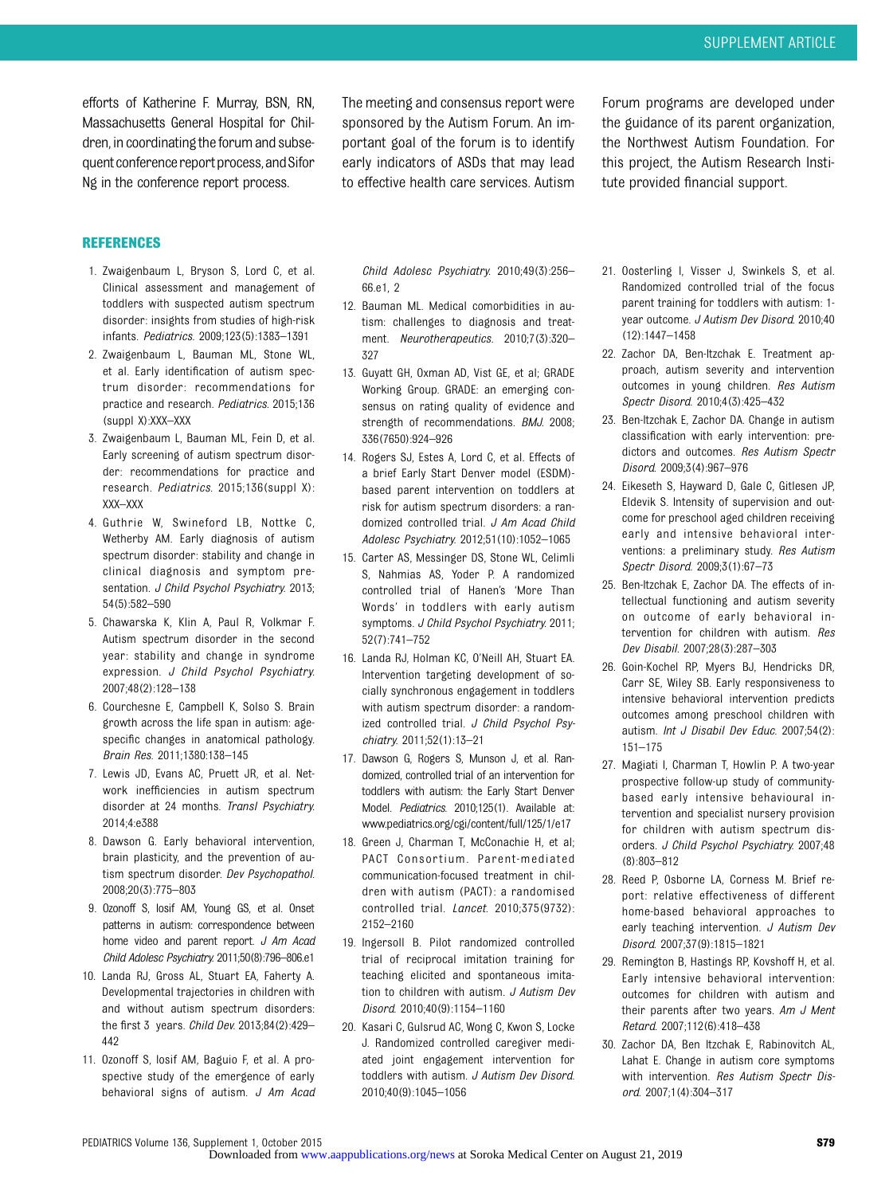efforts of Katherine F. Murray, BSN, RN, Massachusetts General Hospital for Children, in coordinating the forum and subsequent conference report process, and Sifor Ng in the conference report process.

The meeting and consensus report were sponsored by the Autism Forum. An important goal of the forum is to identify early indicators of ASDs that may lead to effective health care services. Autism

Forum programs are developed under the guidance of its parent organization, the Northwest Autism Foundation. For this project, the Autism Research Institute provided financial support.

#### REFERENCES

- 1. Zwaigenbaum L, Bryson S, Lord C, et al. Clinical assessment and management of toddlers with suspected autism spectrum disorder: insights from studies of high-risk infants. Pediatrics. 2009;123(5):1383–1391
- 2. Zwaigenbaum L, Bauman ML, Stone WL, et al. Early identification of autism spectrum disorder: recommendations for practice and research. Pediatrics. 2015;136 (suppl X):XXX–XXX
- 3. Zwaigenbaum L, Bauman ML, Fein D, et al. Early screening of autism spectrum disorder: recommendations for practice and research. Pediatrics. 2015;136(suppl X): XXX–XXX
- 4. Guthrie W, Swineford LB, Nottke C, Wetherby AM. Early diagnosis of autism spectrum disorder: stability and change in clinical diagnosis and symptom presentation. J Child Psychol Psychiatry. 2013; 54(5):582–590
- 5. Chawarska K, Klin A, Paul R, Volkmar F. Autism spectrum disorder in the second year: stability and change in syndrome expression. J Child Psychol Psychiatry. 2007;48(2):128–138
- 6. Courchesne E, Campbell K, Solso S. Brain growth across the life span in autism: agespecific changes in anatomical pathology. Brain Res. 2011;1380:138–145
- 7. Lewis JD, Evans AC, Pruett JR, et al. Network inefficiencies in autism spectrum disorder at 24 months. Transl Psychiatry. 2014;4:e388
- 8. Dawson G. Early behavioral intervention, brain plasticity, and the prevention of autism spectrum disorder. Dev Psychopathol. 2008;20(3):775–803
- 9. Ozonoff S, Iosif AM, Young GS, et al. Onset patterns in autism: correspondence between home video and parent report. J Am Acad Child Adolesc Psychiatry. 2011;50(8):796–806.e1
- 10. Landa RJ, Gross AL, Stuart EA, Faherty A. Developmental trajectories in children with and without autism spectrum disorders: the first 3 years. Child Dev. 2013;84(2):429– 442
- 11. Ozonoff S, Iosif AM, Baguio F, et al. A prospective study of the emergence of early behavioral signs of autism. J Am Acad

Child Adolesc Psychiatry. 2010;49(3):256– 66.e1, 2

- 12. Bauman ML. Medical comorbidities in autism: challenges to diagnosis and treatment. Neurotherapeutics. 2010;7(3):320– 327
- 13. Guyatt GH, Oxman AD, Vist GE, et al; GRADE Working Group. GRADE: an emerging consensus on rating quality of evidence and strength of recommendations. BMJ. 2008; 336(7650):924–926
- 14. Rogers SJ, Estes A, Lord C, et al. Effects of a brief Early Start Denver model (ESDM) based parent intervention on toddlers at risk for autism spectrum disorders: a randomized controlled trial. J Am Acad Child Adolesc Psychiatry. 2012;51(10):1052–1065
- 15. Carter AS, Messinger DS, Stone WL, Celimli S, Nahmias AS, Yoder P. A randomized controlled trial of Hanen's 'More Than Words' in toddlers with early autism symptoms. J Child Psychol Psychiatry. 2011; 52(7):741–752
- 16. Landa RJ, Holman KC, O'Neill AH, Stuart EA. Intervention targeting development of socially synchronous engagement in toddlers with autism spectrum disorder: a randomized controlled trial. J Child Psychol Psychiatry. 2011;52(1):13–21
- 17. Dawson G, Rogers S, Munson J, et al. Randomized, controlled trial of an intervention for toddlers with autism: the Early Start Denver Model. Pediatrics. 2010;125(1). Available at: [www.pediatrics.org/cgi/content/full/125/1/e17](http://www.pediatrics.org/cgi/content/full/125/1/e17)
- 18. Green J, Charman T, McConachie H, et al; PACT Consortium. Parent-mediated communication-focused treatment in children with autism (PACT): a randomised controlled trial. Lancet. 2010;375(9732): 2152–2160
- 19. Ingersoll B. Pilot randomized controlled trial of reciprocal imitation training for teaching elicited and spontaneous imitation to children with autism. J Autism Dev Disord. 2010;40(9):1154–1160
- 20. Kasari C, Gulsrud AC, Wong C, Kwon S, Locke J. Randomized controlled caregiver mediated joint engagement intervention for toddlers with autism. J Autism Dev Disord. 2010;40(9):1045–1056
- 21. Oosterling I, Visser J, Swinkels S, et al. Randomized controlled trial of the focus parent training for toddlers with autism: 1 year outcome. J Autism Dev Disord. 2010;40 (12):1447–1458
- 22. Zachor DA, Ben-Itzchak E. Treatment approach, autism severity and intervention outcomes in young children. Res Autism Spectr Disord. 2010;4(3):425–432
- 23. Ben-Itzchak E, Zachor DA. Change in autism classification with early intervention: predictors and outcomes. Res Autism Spectr Disord. 2009;3(4):967–976
- 24. Eikeseth S, Hayward D, Gale C, Gitlesen JP, Eldevik S. Intensity of supervision and outcome for preschool aged children receiving early and intensive behavioral interventions: a preliminary study. Res Autism Spectr Disord. 2009;3(1):67–73
- 25. Ben-Itzchak E, Zachor DA. The effects of intellectual functioning and autism severity on outcome of early behavioral intervention for children with autism. Res Dev Disabil. 2007;28(3):287–303
- 26. Goin-Kochel RP, Myers BJ, Hendricks DR, Carr SE, Wiley SB. Early responsiveness to intensive behavioral intervention predicts outcomes among preschool children with autism. Int J Disabil Dev Educ. 2007;54(2): 151–175
- 27. Magiati I, Charman T, Howlin P. A two-year prospective follow-up study of communitybased early intensive behavioural intervention and specialist nursery provision for children with autism spectrum disorders. J Child Psychol Psychiatry. 2007;48 (8):803–812
- 28. Reed P, Osborne LA, Corness M. Brief report: relative effectiveness of different home-based behavioral approaches to early teaching intervention. J Autism Dev Disord. 2007;37(9):1815–1821
- 29. Remington B, Hastings RP, Kovshoff H, et al. Early intensive behavioral intervention: outcomes for children with autism and their parents after two years. Am J Ment Retard. 2007;112(6):418–438
- 30. Zachor DA, Ben Itzchak E, Rabinovitch AL, Lahat E. Change in autism core symptoms with intervention. Res Autism Spectr Disord. 2007;1(4):304–317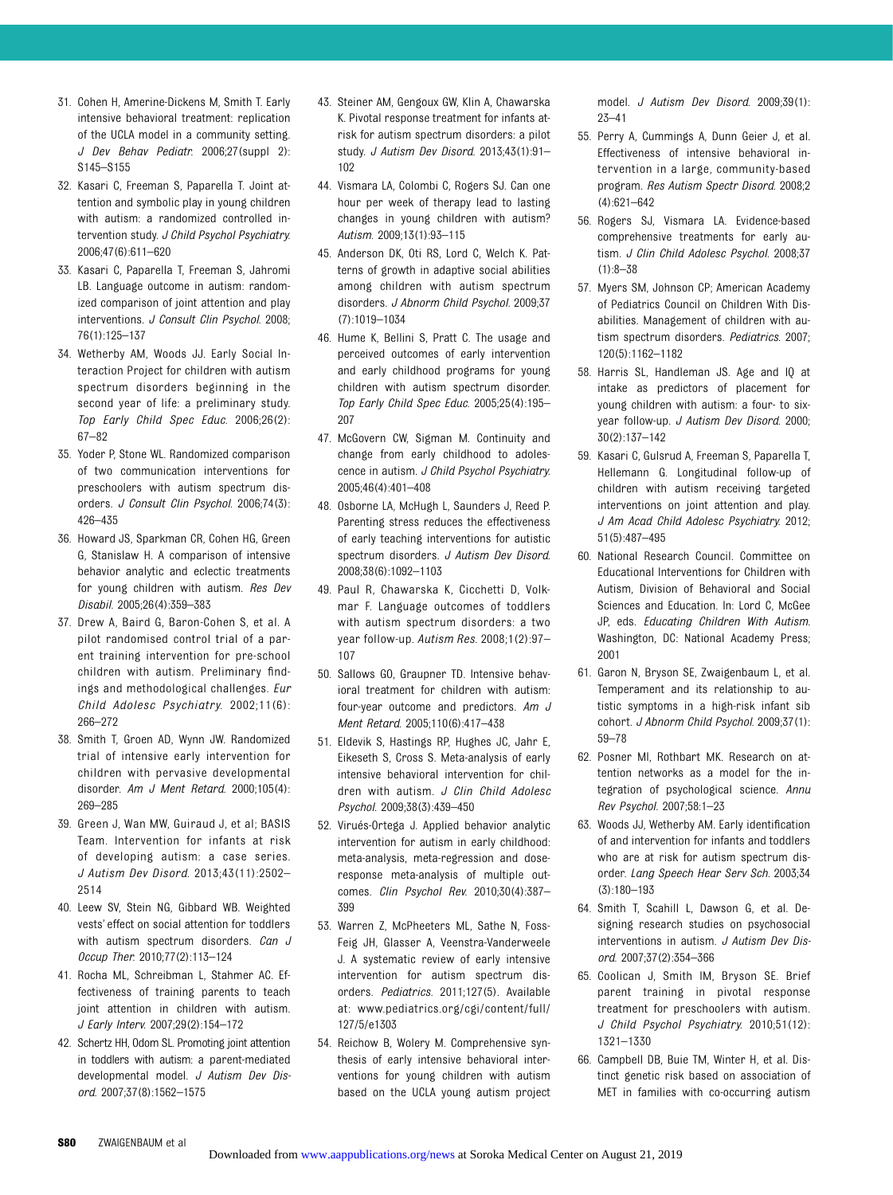- 31. Cohen H, Amerine-Dickens M, Smith T. Early intensive behavioral treatment: replication of the UCLA model in a community setting. J Dev Behav Pediatr. 2006;27(suppl 2): S145–S155
- 32. Kasari C, Freeman S, Paparella T. Joint attention and symbolic play in young children with autism: a randomized controlled intervention study. J Child Psychol Psychiatry. 2006;47(6):611–620
- 33. Kasari C, Paparella T, Freeman S, Jahromi LB. Language outcome in autism: randomized comparison of joint attention and play interventions. J Consult Clin Psychol. 2008; 76(1):125–137
- 34. Wetherby AM, Woods JJ. Early Social Interaction Project for children with autism spectrum disorders beginning in the second year of life: a preliminary study. Top Early Child Spec Educ. 2006;26(2): 67–82
- 35. Yoder P, Stone WL. Randomized comparison of two communication interventions for preschoolers with autism spectrum disorders. J Consult Clin Psychol. 2006;74(3): 426–435
- 36. Howard JS, Sparkman CR, Cohen HG, Green G, Stanislaw H. A comparison of intensive behavior analytic and eclectic treatments for young children with autism. Res Dev Disabil. 2005;26(4):359–383
- 37. Drew A, Baird G, Baron-Cohen S, et al. A pilot randomised control trial of a parent training intervention for pre-school children with autism. Preliminary findings and methodological challenges. Eur Child Adolesc Psychiatry. 2002;11(6): 266–272
- 38. Smith T, Groen AD, Wynn JW. Randomized trial of intensive early intervention for children with pervasive developmental disorder. Am J Ment Retard. 2000;105(4): 269–285
- 39. Green J, Wan MW, Guiraud J, et al; BASIS Team. Intervention for infants at risk of developing autism: a case series. J Autism Dev Disord. 2013;43(11):2502– 2514
- 40. Leew SV, Stein NG, Gibbard WB. Weighted vests' effect on social attention for toddlers with autism spectrum disorders. Can J Occup Ther. 2010;77(2):113–124
- 41. Rocha ML, Schreibman L, Stahmer AC. Effectiveness of training parents to teach joint attention in children with autism. J Early Interv. 2007;29(2):154–172
- 42. Schertz HH, Odom SL. Promoting joint attention in toddlers with autism: a parent-mediated developmental model. J Autism Dev Disord. 2007;37(8):1562–1575
- 43. Steiner AM, Gengoux GW, Klin A, Chawarska K. Pivotal response treatment for infants atrisk for autism spectrum disorders: a pilot study. J Autism Dev Disord. 2013;43(1):91– 102
- 44. Vismara LA, Colombi C, Rogers SJ. Can one hour per week of therapy lead to lasting changes in young children with autism? Autism. 2009;13(1):93–115
- 45. Anderson DK, Oti RS, Lord C, Welch K. Patterns of growth in adaptive social abilities among children with autism spectrum disorders. J Abnorm Child Psychol. 2009;37 (7):1019–1034
- 46. Hume K, Bellini S, Pratt C. The usage and perceived outcomes of early intervention and early childhood programs for young children with autism spectrum disorder. Top Early Child Spec Educ. 2005;25(4):195– 207
- 47. McGovern CW, Sigman M. Continuity and change from early childhood to adolescence in autism. J Child Psychol Psychiatry. 2005;46(4):401–408
- 48. Osborne LA, McHugh L, Saunders J, Reed P. Parenting stress reduces the effectiveness of early teaching interventions for autistic spectrum disorders. J Autism Dev Disord. 2008;38(6):1092–1103
- 49. Paul R, Chawarska K, Cicchetti D, Volkmar F. Language outcomes of toddlers with autism spectrum disorders: a two year follow-up. Autism Res. 2008;1(2):97– 107
- 50. Sallows GO, Graupner TD. Intensive behavioral treatment for children with autism: four-year outcome and predictors. Am J Ment Retard. 2005;110(6):417–438
- 51. Eldevik S, Hastings RP, Hughes JC, Jahr E, Eikeseth S, Cross S. Meta-analysis of early intensive behavioral intervention for children with autism. J Clin Child Adolesc Psychol. 2009;38(3):439–450
- 52. Virués-Ortega J. Applied behavior analytic intervention for autism in early childhood: meta-analysis, meta-regression and doseresponse meta-analysis of multiple outcomes. Clin Psychol Rev. 2010;30(4):387– 399
- 53. Warren Z, McPheeters ML, Sathe N, Foss-Feig JH, Glasser A, Veenstra-Vanderweele J. A systematic review of early intensive intervention for autism spectrum disorders. Pediatrics. 2011;127(5). Available at: [www.pediatrics.org/cgi/content/full/](http://www.pediatrics.org/cgi/content/full/127/5/e1303) [127/5/e1303](http://www.pediatrics.org/cgi/content/full/127/5/e1303)
- 54. Reichow B, Wolery M. Comprehensive synthesis of early intensive behavioral interventions for young children with autism based on the UCLA young autism project

model. J Autism Dev Disord. 2009;39(1): 23–41

- 55. Perry A, Cummings A, Dunn Geier J, et al. Effectiveness of intensive behavioral intervention in a large, community-based program. Res Autism Spectr Disord. 2008;2 (4):621–642
- 56. Rogers SJ, Vismara LA. Evidence-based comprehensive treatments for early autism. J Clin Child Adolesc Psychol. 2008;37 (1):8–38
- 57. Myers SM, Johnson CP; American Academy of Pediatrics Council on Children With Disabilities. Management of children with autism spectrum disorders. Pediatrics. 2007; 120(5):1162–1182
- 58. Harris SL, Handleman JS. Age and IQ at intake as predictors of placement for young children with autism: a four- to sixyear follow-up. J Autism Dev Disord. 2000; 30(2):137–142
- 59. Kasari C, Gulsrud A, Freeman S, Paparella T, Hellemann G. Longitudinal follow-up of children with autism receiving targeted interventions on joint attention and play. J Am Acad Child Adolesc Psychiatry. 2012; 51(5):487–495
- 60. National Research Council. Committee on Educational Interventions for Children with Autism, Division of Behavioral and Social Sciences and Education. In: Lord C, McGee JP, eds. Educating Children With Autism. Washington, DC: National Academy Press; 2001
- 61. Garon N, Bryson SE, Zwaigenbaum L, et al. Temperament and its relationship to autistic symptoms in a high-risk infant sib cohort. J Abnorm Child Psychol. 2009;37(1): 59–78
- 62. Posner MI, Rothbart MK. Research on attention networks as a model for the integration of psychological science. Annu Rev Psychol. 2007;58:1–23
- 63. Woods JJ, Wetherby AM. Early identification of and intervention for infants and toddlers who are at risk for autism spectrum disorder. Lang Speech Hear Serv Sch. 2003;34 (3):180–193
- 64. Smith T, Scahill L, Dawson G, et al. Designing research studies on psychosocial interventions in autism. J Autism Dev Disord. 2007;37(2):354–366
- 65. Coolican J, Smith IM, Bryson SE. Brief parent training in pivotal response treatment for preschoolers with autism. J Child Psychol Psychiatry. 2010;51(12): 1321–1330
- 66. Campbell DB, Buie TM, Winter H, et al. Distinct genetic risk based on association of MET in families with co-occurring autism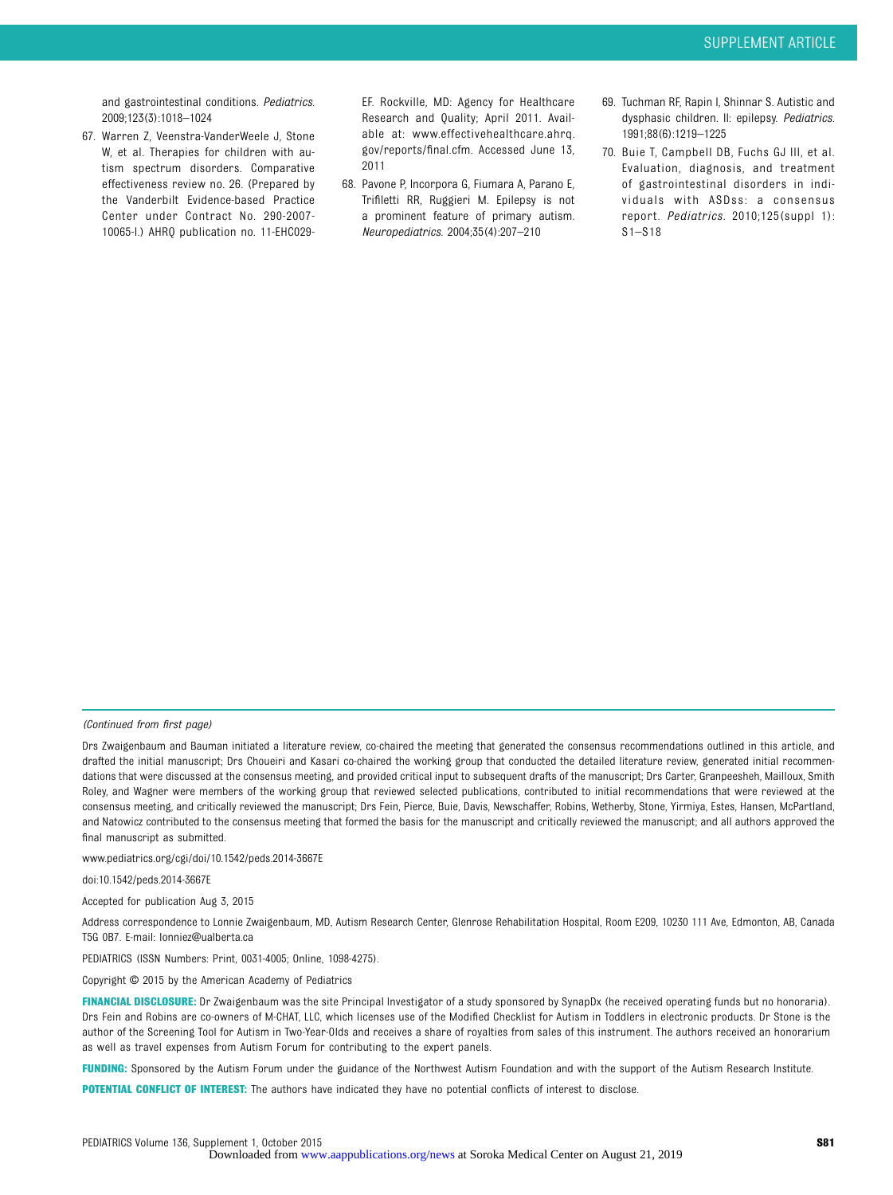and gastrointestinal conditions. Pediatrics. 2009;123(3):1018–1024

67. Warren Z, Veenstra-VanderWeele J, Stone W, et al. Therapies for children with autism spectrum disorders. Comparative effectiveness review no. 26. (Prepared by the Vanderbilt Evidence-based Practice Center under Contract No. 290-2007- 10065-I.) AHRQ publication no. 11-EHC029-

EF. Rockville, MD: Agency for Healthcare Research and Quality; April 2011. Available at: [www.effectivehealthcare.ahrq.](http://www.effectivehealthcare.ahrq.gov/reports/final.cfm) [gov/reports/](http://www.effectivehealthcare.ahrq.gov/reports/final.cfm)final.cfm. Accessed June 13, 2011

- 68. Pavone P, Incorpora G, Fiumara A, Parano E, Trifiletti RR, Ruggieri M. Epilepsy is not a prominent feature of primary autism. Neuropediatrics. 2004;35(4):207–210
- 69. Tuchman RF, Rapin I, Shinnar S. Autistic and dysphasic children. II: epilepsy. Pediatrics. 1991;88(6):1219–1225
- 70. Buie T, Campbell DB, Fuchs GJ III, et al. Evaluation, diagnosis, and treatment of gastrointestinal disorders in individuals with ASDss: a consensus report. Pediatrics. 2010;125(suppl 1): S1–S18

(Continued from first page)

www.pediatrics.org/cgi/doi/10.1542/peds.2014-3667E

doi:10.1542/peds.2014-3667E

Accepted for publication Aug 3, 2015

Address correspondence to Lonnie Zwaigenbaum, MD, Autism Research Center, Glenrose Rehabilitation Hospital, Room E209, 10230 111 Ave, Edmonton, AB, Canada T5G 0B7. E-mail: [lonniez@ualberta.ca](mailto:lonniez@ualberta.ca)

PEDIATRICS (ISSN Numbers: Print, 0031-4005; Online, 1098-4275).

Copyright © 2015 by the American Academy of Pediatrics

FINANCIAL DISCLOSURE: Dr Zwaigenbaum was the site Principal Investigator of a study sponsored by SynapDx (he received operating funds but no honoraria). Drs Fein and Robins are co-owners of M-CHAT, LLC, which licenses use of the Modified Checklist for Autism in Toddlers in electronic products. Dr Stone is the author of the Screening Tool for Autism in Two-Year-Olds and receives a share of royalties from sales of this instrument. The authors received an honorarium as well as travel expenses from Autism Forum for contributing to the expert panels.

FUNDING: Sponsored by the Autism Forum under the guidance of the Northwest Autism Foundation and with the support of the Autism Research Institute.

POTENTIAL CONFLICT OF INTEREST: The authors have indicated they have no potential conflicts of interest to disclose.

Drs Zwaigenbaum and Bauman initiated a literature review, co-chaired the meeting that generated the consensus recommendations outlined in this article, and drafted the initial manuscript; Drs Choueiri and Kasari co-chaired the working group that conducted the detailed literature review, generated initial recommendations that were discussed at the consensus meeting, and provided critical input to subsequent drafts of the manuscript; Drs Carter, Granpeesheh, Mailloux, Smith Roley, and Wagner were members of the working group that reviewed selected publications, contributed to initial recommendations that were reviewed at the consensus meeting, and critically reviewed the manuscript; Drs Fein, Pierce, Buie, Davis, Newschaffer, Robins, Wetherby, Stone, Yirmiya, Estes, Hansen, McPartland, and Natowicz contributed to the consensus meeting that formed the basis for the manuscript and critically reviewed the manuscript; and all authors approved the final manuscript as submitted.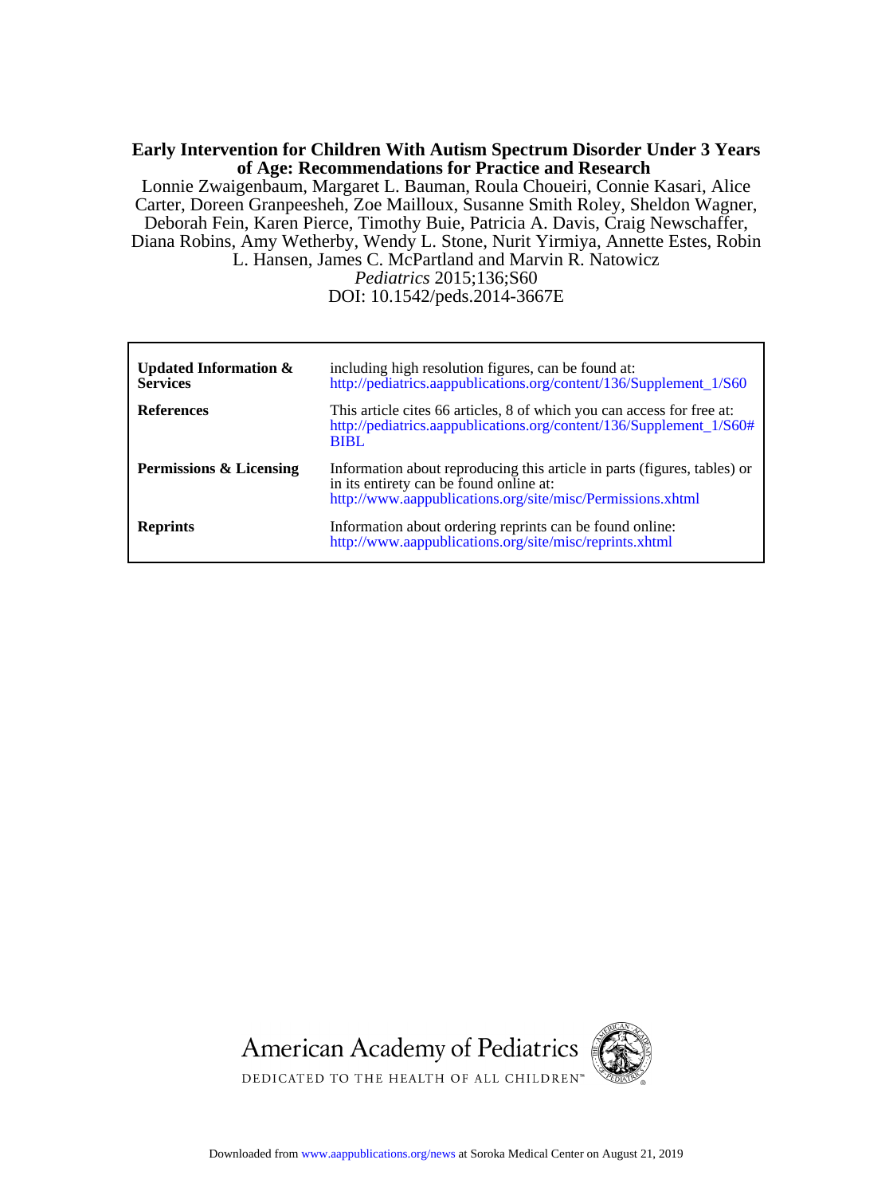#### **of Age: Recommendations for Practice and Research Early Intervention for Children With Autism Spectrum Disorder Under 3 Years**

L. Hansen, James C. McPartland and Marvin R. Natowicz Diana Robins, Amy Wetherby, Wendy L. Stone, Nurit Yirmiya, Annette Estes, Robin Deborah Fein, Karen Pierce, Timothy Buie, Patricia A. Davis, Craig Newschaffer, Carter, Doreen Granpeesheh, Zoe Mailloux, Susanne Smith Roley, Sheldon Wagner, Lonnie Zwaigenbaum, Margaret L. Bauman, Roula Choueiri, Connie Kasari, Alice

DOI: 10.1542/peds.2014-3667E *Pediatrics* 2015;136;S60

| Updated Information $\&$<br><b>Services</b> | including high resolution figures, can be found at:<br>http://pediatrics.aappublications.org/content/136/Supplement 1/S60                                                         |
|---------------------------------------------|-----------------------------------------------------------------------------------------------------------------------------------------------------------------------------------|
| <b>References</b>                           | This article cites 66 articles, 8 of which you can access for free at:<br>http://pediatrics.aappublications.org/content/136/Supplement_1/S60#<br><b>BIBL</b>                      |
| <b>Permissions &amp; Licensing</b>          | Information about reproducing this article in parts (figures, tables) or<br>in its entirety can be found online at:<br>http://www.aappublications.org/site/misc/Permissions.xhtml |
| <b>Reprints</b>                             | Information about ordering reprints can be found online:<br>http://www.aappublications.org/site/misc/reprints.xhtml                                                               |